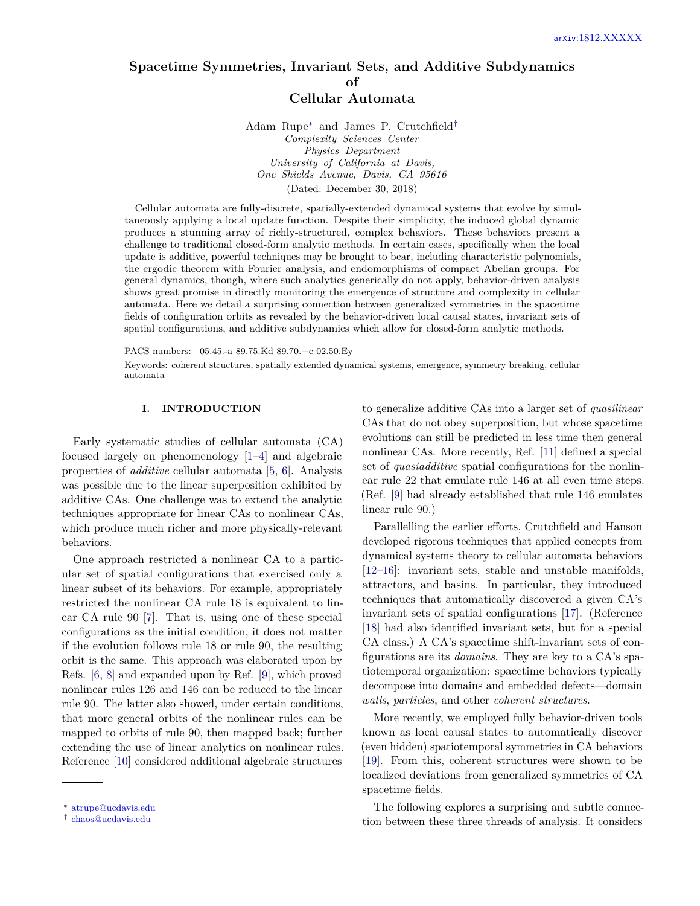# **Spacetime Symmetries, Invariant Sets, and Additive Subdynamics of Cellular Automata**

Adam Rupe[∗](#page-0-0) and James P. Crutchfield[†](#page-0-1) *Complexity Sciences Center Physics Department University of California at Davis, One Shields Avenue, Davis, CA 95616* (Dated: December 30, 2018)

Cellular automata are fully-discrete, spatially-extended dynamical systems that evolve by simultaneously applying a local update function. Despite their simplicity, the induced global dynamic produces a stunning array of richly-structured, complex behaviors. These behaviors present a challenge to traditional closed-form analytic methods. In certain cases, specifically when the local update is additive, powerful techniques may be brought to bear, including characteristic polynomials, the ergodic theorem with Fourier analysis, and endomorphisms of compact Abelian groups. For general dynamics, though, where such analytics generically do not apply, behavior-driven analysis shows great promise in directly monitoring the emergence of structure and complexity in cellular automata. Here we detail a surprising connection between generalized symmetries in the spacetime fields of configuration orbits as revealed by the behavior-driven local causal states, invariant sets of spatial configurations, and additive subdynamics which allow for closed-form analytic methods.

PACS numbers: 05.45.-a 89.75.Kd 89.70.+c 02.50.Ey

Keywords: coherent structures, spatially extended dynamical systems, emergence, symmetry breaking, cellular automata

## **I. INTRODUCTION**

Early systematic studies of cellular automata (CA) focused largely on phenomenology [\[1](#page-19-0)[–4\]](#page-19-1) and algebraic properties of *additive* cellular automata [\[5,](#page-19-2) [6\]](#page-19-3). Analysis was possible due to the linear superposition exhibited by additive CAs. One challenge was to extend the analytic techniques appropriate for linear CAs to nonlinear CAs, which produce much richer and more physically-relevant behaviors.

One approach restricted a nonlinear CA to a particular set of spatial configurations that exercised only a linear subset of its behaviors. For example, appropriately restricted the nonlinear CA rule 18 is equivalent to linear CA rule 90 [\[7\]](#page-19-4). That is, using one of these special configurations as the initial condition, it does not matter if the evolution follows rule 18 or rule 90, the resulting orbit is the same. This approach was elaborated upon by Refs. [\[6,](#page-19-3) [8\]](#page-19-5) and expanded upon by Ref. [\[9\]](#page-19-6), which proved nonlinear rules 126 and 146 can be reduced to the linear rule 90. The latter also showed, under certain conditions, that more general orbits of the nonlinear rules can be mapped to orbits of rule 90, then mapped back; further extending the use of linear analytics on nonlinear rules. Reference [\[10\]](#page-19-7) considered additional algebraic structures

to generalize additive CAs into a larger set of *quasilinear* CAs that do not obey superposition, but whose spacetime evolutions can still be predicted in less time then general nonlinear CAs. More recently, Ref. [\[11\]](#page-19-8) defined a special set of *quasiadditive* spatial configurations for the nonlinear rule 22 that emulate rule 146 at all even time steps. (Ref. [\[9\]](#page-19-6) had already established that rule 146 emulates linear rule 90.)

Parallelling the earlier efforts, Crutchfield and Hanson developed rigorous techniques that applied concepts from dynamical systems theory to cellular automata behaviors [\[12–](#page-19-9)[16\]](#page-20-0): invariant sets, stable and unstable manifolds, attractors, and basins. In particular, they introduced techniques that automatically discovered a given CA's invariant sets of spatial configurations [\[17\]](#page-20-1). (Reference [\[18\]](#page-20-2) had also identified invariant sets, but for a special CA class.) A CA's spacetime shift-invariant sets of configurations are its *domains*. They are key to a CA's spatiotemporal organization: spacetime behaviors typically decompose into domains and embedded defects—domain *walls*, *particles*, and other *coherent structures*.

More recently, we employed fully behavior-driven tools known as local causal states to automatically discover (even hidden) spatiotemporal symmetries in CA behaviors [\[19\]](#page-20-3). From this, coherent structures were shown to be localized deviations from generalized symmetries of CA spacetime fields.

The following explores a surprising and subtle connection between these three threads of analysis. It considers

<span id="page-0-0"></span><sup>∗</sup> [atrupe@ucdavis.edu](mailto:atrupe@ucdavis.edu)

<span id="page-0-1"></span><sup>†</sup> [chaos@ucdavis.edu](mailto:chaos@ucdavis.edu)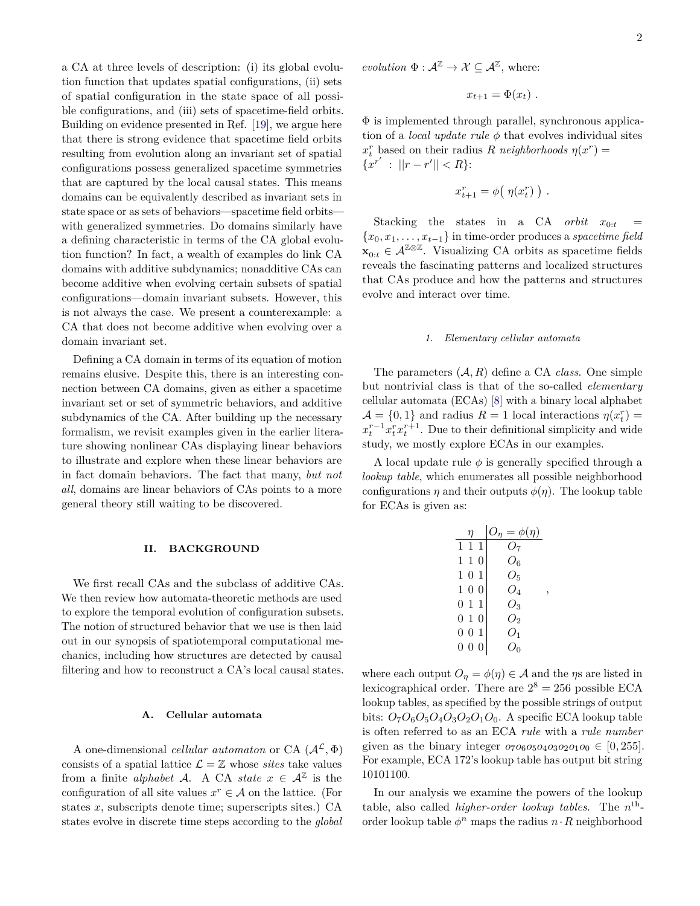a CA at three levels of description: (i) its global evolution function that updates spatial configurations, (ii) sets of spatial configuration in the state space of all possible configurations, and (iii) sets of spacetime-field orbits. Building on evidence presented in Ref. [\[19\]](#page-20-3), we argue here that there is strong evidence that spacetime field orbits resulting from evolution along an invariant set of spatial configurations possess generalized spacetime symmetries that are captured by the local causal states. This means domains can be equivalently described as invariant sets in state space or as sets of behaviors—spacetime field orbits with generalized symmetries. Do domains similarly have a defining characteristic in terms of the CA global evolution function? In fact, a wealth of examples do link CA domains with additive subdynamics; nonadditive CAs can become additive when evolving certain subsets of spatial configurations—domain invariant subsets. However, this is not always the case. We present a counterexample: a CA that does not become additive when evolving over a domain invariant set.

Defining a CA domain in terms of its equation of motion remains elusive. Despite this, there is an interesting connection between CA domains, given as either a spacetime invariant set or set of symmetric behaviors, and additive subdynamics of the CA. After building up the necessary formalism, we revisit examples given in the earlier literature showing nonlinear CAs displaying linear behaviors to illustrate and explore when these linear behaviors are in fact domain behaviors. The fact that many, *but not all*, domains are linear behaviors of CAs points to a more general theory still waiting to be discovered.

#### <span id="page-1-0"></span>**II. BACKGROUND**

We first recall CAs and the subclass of additive CAs. We then review how automata-theoretic methods are used to explore the temporal evolution of configuration subsets. The notion of structured behavior that we use is then laid out in our synopsis of spatiotemporal computational mechanics, including how structures are detected by causal filtering and how to reconstruct a CA's local causal states.

## **A. Cellular automata**

A one-dimensional *cellular automaton* or CA  $(\mathcal{A}^{\mathcal{L}}, \Phi)$ consists of a spatial lattice  $\mathcal{L} = \mathbb{Z}$  whose *sites* take values from a finite *alphabet* A. A CA *state*  $x \in A^{\mathbb{Z}}$  is the configuration of all site values  $x^r \in A$  on the lattice. (For states *x*, subscripts denote time; superscripts sites.) CA states evolve in discrete time steps according to the *global* *evolution*  $\Phi : \mathcal{A}^{\mathbb{Z}} \to \mathcal{X} \subseteq \mathcal{A}^{\mathbb{Z}}$ , where:

$$
x_{t+1} = \Phi(x_t) \; .
$$

Φ is implemented through parallel, synchronous application of a *local update rule φ* that evolves individual sites  $x_t^r$  based on their radius *R neighborhoods*  $\eta(x^r) =$  ${x^{r'}} : ||r - r'|| < R$ :

$$
x_{t+1}^r = \phi(\eta(x_t^r))
$$
.

Stacking the states in a CA *orbit*  $x_{0:t}$ {*x*0*, x*1*, . . . , xt*−1} in time-order produces a *spacetime field*  $\mathbf{x}_{0:t}$  ∈  $\mathcal{A}^{\mathbb{Z} \otimes \mathbb{Z}}$ . Visualizing CA orbits as spacetime fields reveals the fascinating patterns and localized structures that CAs produce and how the patterns and structures evolve and interact over time.

### *1. Elementary cellular automata*

The parameters (A*, R*) define a CA *class*. One simple but nontrivial class is that of the so-called *elementary* cellular automata (ECAs) [\[8\]](#page-19-5) with a binary local alphabet  $\mathcal{A} = \{0, 1\}$  and radius  $R = 1$  local interactions  $\eta(x_t^r) =$  $x_t^{r-1} x_t^r x_t^{r+1}$ . Due to their definitional simplicity and wide study, we mostly explore ECAs in our examples.

A local update rule  $\phi$  is generally specified through a *lookup table*, which enumerates all possible neighborhood configurations  $\eta$  and their outputs  $\phi(\eta)$ . The lookup table for ECAs is given as:

| η              | $O_{\eta} = \phi(\eta)$ |
|----------------|-------------------------|
| 111            | Ο7                      |
| 110            | $O_6$                   |
| $1 \t0 \t1$    | $O_5$                   |
| $1\;0\;0$      | $O_4$                   |
| $0\; 1\; 1$    | Ο3                      |
| 010            | О,                      |
| 001            | $O_1$                   |
| 0 <sub>0</sub> | Ω∩                      |

*,*

where each output  $O_n = \phi(\eta) \in \mathcal{A}$  and the *η*s are listed in lexicographical order. There are  $2^8 = 256$  possible ECA lookup tables, as specified by the possible strings of output bits:  $O_7O_6O_5O_4O_3O_2O_1O_0$ . A specific ECA lookup table is often referred to as an ECA *rule* with a *rule number* given as the binary integer  $o_7 o_6 o_5 o_4 o_3 o_2 o_1 o_0 \in [0, 255]$ . For example, ECA 172's lookup table has output bit string 10101100.

In our analysis we examine the powers of the lookup table, also called *higher-order lookup tables*. The  $n^{\text{th}}$ order lookup table  $\phi^n$  maps the radius  $n \cdot R$  neighborhood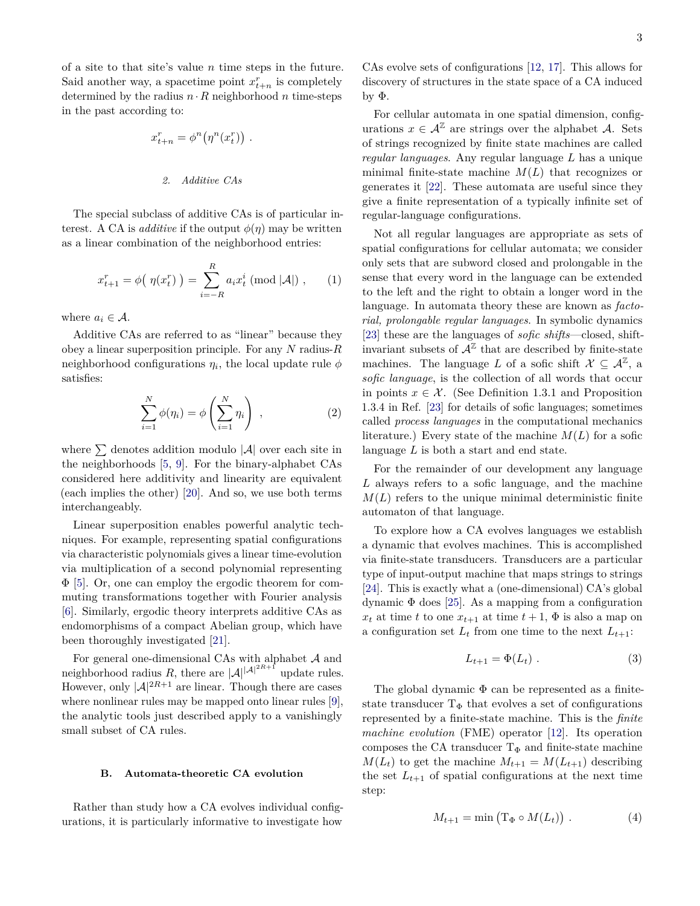of a site to that site's value *n* time steps in the future. Said another way, a spacetime point  $x_{t+n}^r$  is completely determined by the radius  $n \cdot R$  neighborhood *n* time-steps in the past according to:

$$
x_{t+n}^r = \phi^n(\eta^n(x_t^r)) .
$$
  
*2. Additive CAs*

The special subclass of additive CAs is of particular interest. A CA is *additive* if the output  $\phi(\eta)$  may be written as a linear combination of the neighborhood entries:

$$
x_{t+1}^r = \phi\big(\eta(x_t^r)\big) = \sum_{i=-R}^R a_i x_t^i \pmod{|\mathcal{A}|},\qquad(1)
$$

where  $a_i \in \mathcal{A}$ .

Additive CAs are referred to as "linear" because they obey a linear superposition principle. For any *N* radius-*R* neighborhood configurations  $\eta_i$ , the local update rule  $\phi$ satisfies:

$$
\sum_{i=1}^{N} \phi(\eta_i) = \phi\left(\sum_{i=1}^{N} \eta_i\right) , \qquad (2)
$$

where  $\Sigma$  denotes addition modulo  $|\mathcal{A}|$  over each site in the neighborhoods [\[5,](#page-19-2) [9\]](#page-19-6). For the binary-alphabet CAs considered here additivity and linearity are equivalent (each implies the other) [\[20\]](#page-20-4). And so, we use both terms interchangeably.

Linear superposition enables powerful analytic techniques. For example, representing spatial configurations via characteristic polynomials gives a linear time-evolution via multiplication of a second polynomial representing Φ [\[5\]](#page-19-2). Or, one can employ the ergodic theorem for commuting transformations together with Fourier analysis [\[6\]](#page-19-3). Similarly, ergodic theory interprets additive CAs as endomorphisms of a compact Abelian group, which have been thoroughly investigated [\[21\]](#page-20-5).

For general one-dimensional CAs with alphabet  ${\mathcal A}$  and neighborhood radius *R*, there are  $|A|^{|\mathcal{A}|^{2R+1}}$  update rules. However, only  $|\mathcal{A}|^{2R+1}$  are linear. Though there are cases where nonlinear rules may be mapped onto linear rules [\[9\]](#page-19-6), the analytic tools just described apply to a vanishingly small subset of CA rules.

### **B. Automata-theoretic CA evolution**

Rather than study how a CA evolves individual configurations, it is particularly informative to investigate how

CAs evolve sets of configurations [\[12,](#page-19-9) [17\]](#page-20-1). This allows for discovery of structures in the state space of a CA induced by  $\Phi$ .

For cellular automata in one spatial dimension, configurations  $x \in \mathcal{A}^{\mathbb{Z}}$  are strings over the alphabet A. Sets of strings recognized by finite state machines are called *regular languages*. Any regular language *L* has a unique minimal finite-state machine *M*(*L*) that recognizes or generates it [\[22\]](#page-20-6). These automata are useful since they give a finite representation of a typically infinite set of regular-language configurations.

<span id="page-2-2"></span>Not all regular languages are appropriate as sets of spatial configurations for cellular automata; we consider only sets that are subword closed and prolongable in the sense that every word in the language can be extended to the left and the right to obtain a longer word in the language. In automata theory these are known as *factorial, prolongable regular languages*. In symbolic dynamics [\[23\]](#page-20-7) these are the languages of *sofic shifts*—closed, shiftinvariant subsets of  $\mathcal{A}^{\mathbb{Z}}$  that are described by finite-state machines. The language L of a sofic shift  $X \subseteq \mathcal{A}^{\mathbb{Z}}$ , a *sofic language*, is the collection of all words that occur in points  $x \in \mathcal{X}$ . (See Definition 1.3.1 and Proposition 1.3.4 in Ref. [\[23\]](#page-20-7) for details of sofic languages; sometimes called *process languages* in the computational mechanics literature.) Every state of the machine  $M(L)$  for a sofic language *L* is both a start and end state.

<span id="page-2-3"></span>For the remainder of our development any language *L* always refers to a sofic language, and the machine  $M(L)$  refers to the unique minimal deterministic finite automaton of that language.

To explore how a CA evolves languages we establish a dynamic that evolves machines. This is accomplished via finite-state transducers. Transducers are a particular type of input-output machine that maps strings to strings [\[24\]](#page-20-8). This is exactly what a (one-dimensional) CA's global dynamic  $\Phi$  does [\[25\]](#page-20-9). As a mapping from a configuration  $x_t$  at time *t* to one  $x_{t+1}$  at time  $t+1$ ,  $\Phi$  is also a map on a configuration set  $L_t$  from one time to the next  $L_{t+1}$ :

<span id="page-2-1"></span>
$$
L_{t+1} = \Phi(L_t) . \tag{3}
$$

The global dynamic  $\Phi$  can be represented as a finitestate transducer  $T_{\Phi}$  that evolves a set of configurations represented by a finite-state machine. This is the *finite machine evolution* (FME) operator [\[12\]](#page-19-9). Its operation composes the CA transducer  $T_{\Phi}$  and finite-state machine  $M(L_t)$  to get the machine  $M_{t+1} = M(L_{t+1})$  describing the set  $L_{t+1}$  of spatial configurations at the next time step:

<span id="page-2-0"></span>
$$
M_{t+1} = \min(\mathcal{T}_{\Phi} \circ M(L_t)). \tag{4}
$$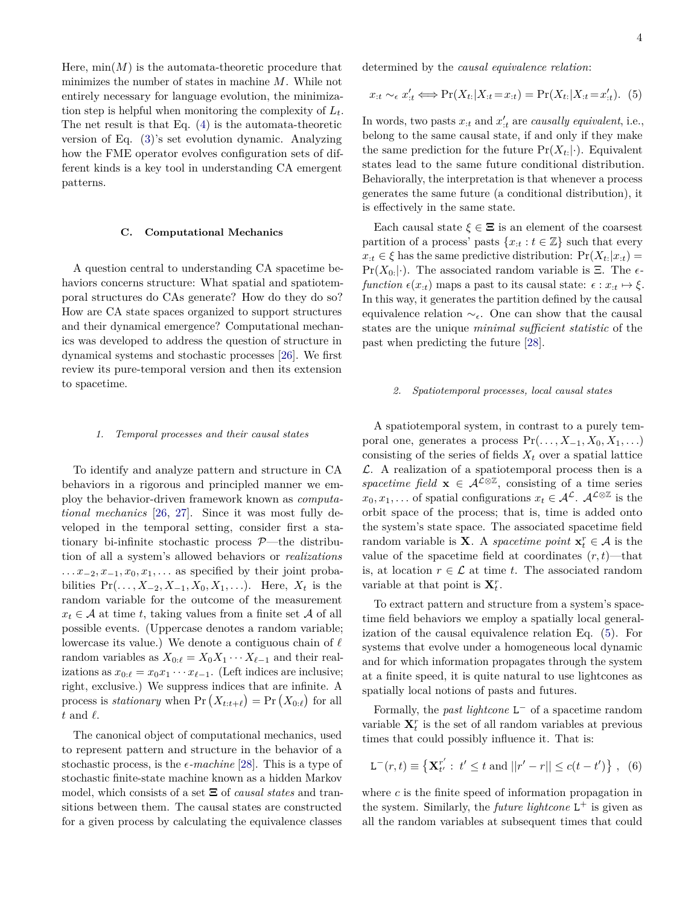Here,  $\min(M)$  is the automata-theoretic procedure that minimizes the number of states in machine *M*. While not entirely necessary for language evolution, the minimization step is helpful when monitoring the complexity of *Lt*. The net result is that Eq. [\(4\)](#page-2-0) is the automata-theoretic version of Eq. [\(3\)](#page-2-1)'s set evolution dynamic. Analyzing how the FME operator evolves configuration sets of different kinds is a key tool in understanding CA emergent patterns.

## **C. Computational Mechanics**

A question central to understanding CA spacetime behaviors concerns structure: What spatial and spatiotemporal structures do CAs generate? How do they do so? How are CA state spaces organized to support structures and their dynamical emergence? Computational mechanics was developed to address the question of structure in dynamical systems and stochastic processes [\[26\]](#page-20-10). We first review its pure-temporal version and then its extension to spacetime.

#### *1. Temporal processes and their causal states*

To identify and analyze pattern and structure in CA behaviors in a rigorous and principled manner we employ the behavior-driven framework known as *computational mechanics* [\[26,](#page-20-10) [27\]](#page-20-11). Since it was most fully developed in the temporal setting, consider first a stationary bi-infinite stochastic process  $P$ —the distribution of all a system's allowed behaviors or *realizations ... x*<sub>−2</sub>*, x*<sub>−1</sub>*, x*<sub>0</sub>*, x*<sub>1</sub>*, ...* as specified by their joint probabilities  $Pr( ..., X_{-2}, X_{-1}, X_0, X_1, ...).$  Here,  $X_t$  is the random variable for the outcome of the measurement  $x_t \in \mathcal{A}$  at time *t*, taking values from a finite set  $\mathcal{A}$  of all possible events. (Uppercase denotes a random variable; lowercase its value.) We denote a contiguous chain of  $\ell$ random variables as  $X_{0:\ell} = X_0 X_1 \cdots X_{\ell-1}$  and their realizations as  $x_{0:\ell} = x_0 x_1 \cdots x_{\ell-1}$ . (Left indices are inclusive; right, exclusive.) We suppress indices that are infinite. A process is *stationary* when  $Pr(X_{t:t+\ell}) = Pr(X_{0:\ell})$  for all  $t$  and  $\ell$ .

The canonical object of computational mechanics, used to represent pattern and structure in the behavior of a stochastic process, is the  $\epsilon$ -machine [\[28\]](#page-20-12). This is a type of stochastic finite-state machine known as a hidden Markov model, which consists of a set Ξ of *causal states* and transitions between them. The causal states are constructed for a given process by calculating the equivalence classes

<span id="page-3-0"></span>4

determined by the *causal equivalence relation*:

$$
x_{:t} \sim_{\epsilon} x'_{:t} \Longleftrightarrow \Pr(X_{t:}|X_{:t}=x_{:t}) = \Pr(X_{t:}|X_{:t}=x'_{:t}). \tag{5}
$$

In words, two pasts  $x_{:t}$  and  $x'_{:t}$  are *causally equivalent*, i.e., belong to the same causal state, if and only if they make the same prediction for the future  $Pr(X_{t:}|\cdot)$ . Equivalent states lead to the same future conditional distribution. Behaviorally, the interpretation is that whenever a process generates the same future (a conditional distribution), it is effectively in the same state.

Each causal state  $\xi \in \Xi$  is an element of the coarsest partition of a process' pasts  $\{x_{:t}: t \in \mathbb{Z}\}\$  such that every  $x_{it} \in \xi$  has the same predictive distribution:  $Pr(X_{t}: | x_{it}) =$ Pr( $X_0$ :|·). The associated random variable is  $\Xi$ . The  $\epsilon$ *function*  $\epsilon(x_t)$  maps a past to its causal state:  $\epsilon : x_t \mapsto \xi$ . In this way, it generates the partition defined by the causal equivalence relation  $\sim_{\epsilon}$ . One can show that the causal states are the unique *minimal sufficient statistic* of the past when predicting the future [\[28\]](#page-20-12).

#### *2. Spatiotemporal processes, local causal states*

A spatiotemporal system, in contrast to a purely temporal one, generates a process  $Pr(\ldots, X_{-1}, X_0, X_1, \ldots)$ consisting of the series of fields  $X_t$  over a spatial lattice  $\mathcal{L}$ . A realization of a spatiotemporal process then is a *spacetime field*  $\mathbf{x} \in \mathcal{A}^{\mathcal{L} \otimes \mathbb{Z}}$ , consisting of a time series  $x_0, x_1, \ldots$  of spatial configurations  $x_t \in A^{\mathcal{L}}$ .  $A^{\mathcal{L} \otimes \mathbb{Z}}$  is the orbit space of the process; that is, time is added onto the system's state space. The associated spacetime field random variable is **X**. A *spacetime point*  $\mathbf{x}_t^r \in \mathcal{A}$  is the value of the spacetime field at coordinates  $(r, t)$ —that is, at location  $r \in \mathcal{L}$  at time *t*. The associated random variable at that point is  $\mathbf{X}_t^r$ .

To extract pattern and structure from a system's spacetime field behaviors we employ a spatially local generalization of the causal equivalence relation Eq. [\(5\)](#page-3-0). For systems that evolve under a homogeneous local dynamic and for which information propagates through the system at a finite speed, it is quite natural to use lightcones as spatially local notions of pasts and futures.

Formally, the *past lightcone* L <sup>−</sup> of a spacetime random variable  $X_t^r$  is the set of all random variables at previous times that could possibly influence it. That is:

$$
\mathcal{L}^{-}(r,t) \equiv \left\{ \mathbf{X}_{t'}^{r'} : t' \le t \text{ and } ||r' - r|| \le c(t - t') \right\}, (6)
$$

where *c* is the finite speed of information propagation in the system. Similarly, the *future lightcone*  $L^+$  is given as all the random variables at subsequent times that could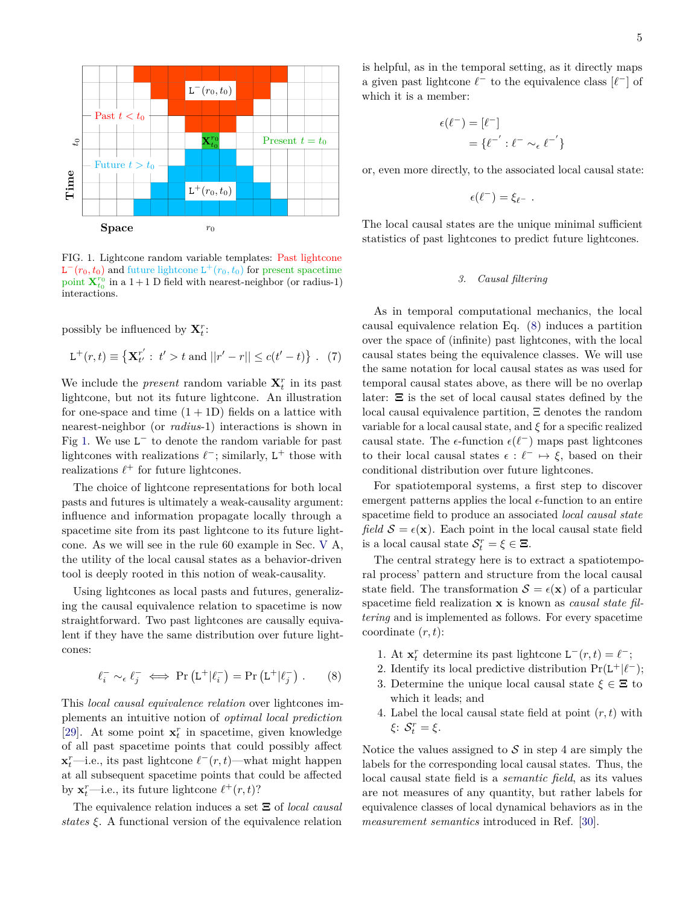

<span id="page-4-0"></span>FIG. 1. Lightcone random variable templates: Past lightcone  $\mathbf{L}^-(r_0, t_0)$  and future lightcone  $\mathbf{L}^+(r_0, t_0)$  for present spacetime point  $\mathbf{X}_{t_0}^{r_0}$  in a 1+1 D field with nearest-neighbor (or radius-1) interactions.

possibly be influenced by  $\mathbf{X}_t^r$ :

$$
\mathsf{L}^{+}(r,t) \equiv \left\{ \mathbf{X}_{t'}^{r'} : t' > t \text{ and } ||r' - r|| \le c(t' - t) \right\} .
$$
 (7)

We include the *present* random variable  $\mathbf{X}_t^r$  in its past lightcone, but not its future lightcone. An illustration for one-space and time  $(1+1D)$  fields on a lattice with nearest-neighbor (or *radius*-1) interactions is shown in Fig [1.](#page-4-0) We use  $L^-$  to denote the random variable for past lightcones with realizations  $\ell^-$ ; similarly, L<sup>+</sup> those with realizations  $\ell^+$  for future lightcones.

The choice of lightcone representations for both local pasts and futures is ultimately a weak-causality argument: influence and information propagate locally through a spacetime site from its past lightcone to its future lightcone. As we will see in the rule 60 example in Sec. [V](#page-9-0) A, the utility of the local causal states as a behavior-driven tool is deeply rooted in this notion of weak-causality.

Using lightcones as local pasts and futures, generalizing the causal equivalence relation to spacetime is now straightforward. Two past lightcones are causally equivalent if they have the same distribution over future lightcones:

$$
\ell_i^- \sim_{\epsilon} \ell_j^- \iff \Pr\left(L^+|\ell_i^-\right) = \Pr\left(L^+|\ell_j^-\right). \tag{8}
$$

This *local causal equivalence relation* over lightcones implements an intuitive notion of *optimal local prediction* [\[29\]](#page-20-13). At some point  $\mathbf{x}_t^r$  in spacetime, given knowledge of all past spacetime points that could possibly affect **x**<sup>*r*</sup>—i.e., its past lightcone  $\ell^-(r, t)$ —what might happen at all subsequent spacetime points that could be affected by  $\mathbf{x}_t^r$ —i.e., its future lightcone  $\ell^+(r, t)$ ?

The equivalence relation induces a set Ξ of *local causal states ξ*. A functional version of the equivalence relation

is helpful, as in the temporal setting, as it directly maps a given past lightcone  $\ell^-$  to the equivalence class  $[\ell^-]$  of which it is a member:

$$
\epsilon(\ell^-) = [\ell^-]
$$

$$
= \{\ell^-': \ell^- \sim_\epsilon \ell^{-'}\}
$$

or, even more directly, to the associated local causal state:

$$
\epsilon(\ell^-) = \xi_{\ell^-} \ .
$$

The local causal states are the unique minimal sufficient statistics of past lightcones to predict future lightcones.

## *3. Causal filtering*

As in temporal computational mechanics, the local causal equivalence relation Eq. [\(8\)](#page-4-1) induces a partition over the space of (infinite) past lightcones, with the local causal states being the equivalence classes. We will use the same notation for local causal states as was used for temporal causal states above, as there will be no overlap later: Ξ is the set of local causal states defined by the local causal equivalence partition, Ξ denotes the random variable for a local causal state, and *ξ* for a specific realized causal state. The  $\epsilon$ -function  $\epsilon(\ell^-)$  maps past lightcones to their local causal states  $\epsilon : \ell^- \mapsto \xi$ , based on their conditional distribution over future lightcones.

For spatiotemporal systems, a first step to discover emergent patterns applies the local  $\epsilon$ -function to an entire spacetime field to produce an associated *local causal state field*  $S = \epsilon(\mathbf{x})$ . Each point in the local causal state field is a local causal state  $S_t^r = \xi \in \Xi$ .

The central strategy here is to extract a spatiotemporal process' pattern and structure from the local causal state field. The transformation  $S = \epsilon(\mathbf{x})$  of a particular spacetime field realization **x** is known as *causal state filtering* and is implemented as follows. For every spacetime coordinate (*r, t*):

- 1. At  $\mathbf{x}_t^r$  determine its past lightcone  $\mathbf{L}^-(r,t) = \ell^-$ ;
- <span id="page-4-1"></span>2. Identify its local predictive distribution  $Pr(L^+|\ell^-);$
- 3. Determine the unique local causal state  $\xi \in \Xi$  to which it leads; and
- 4. Label the local causal state field at point (*r, t*) with *ξ*: S *r <sup>t</sup>* = *ξ*.

Notice the values assigned to  $S$  in step 4 are simply the labels for the corresponding local causal states. Thus, the local causal state field is a *semantic field*, as its values are not measures of any quantity, but rather labels for equivalence classes of local dynamical behaviors as in the *measurement semantics* introduced in Ref. [\[30\]](#page-20-14).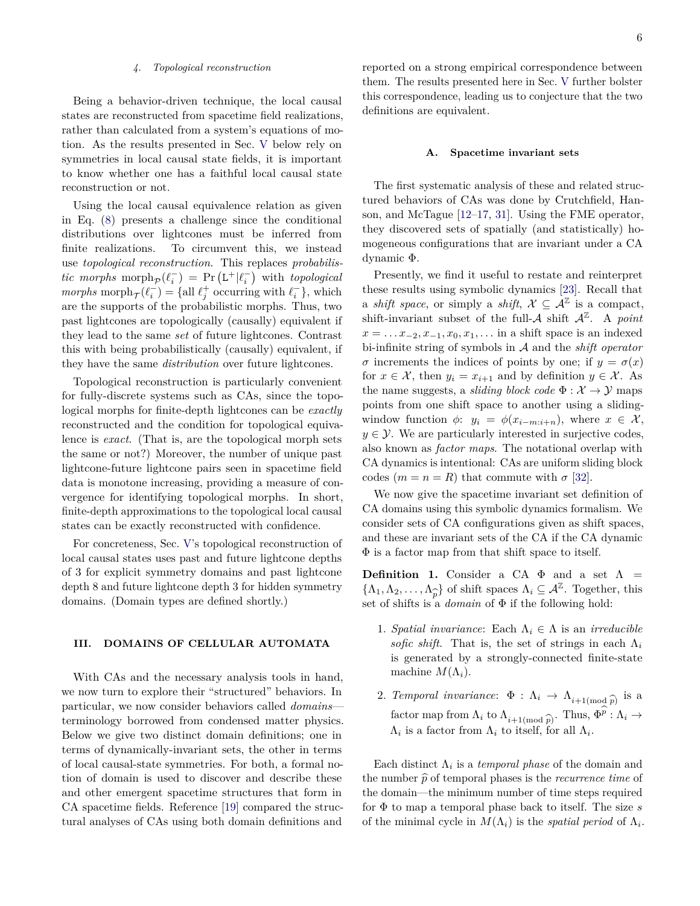#### *4. Topological reconstruction*

Being a behavior-driven technique, the local causal states are reconstructed from spacetime field realizations, rather than calculated from a system's equations of motion. As the results presented in Sec. [V](#page-9-0) below rely on symmetries in local causal state fields, it is important to know whether one has a faithful local causal state reconstruction or not.

Using the local causal equivalence relation as given in Eq. [\(8\)](#page-4-1) presents a challenge since the conditional distributions over lightcones must be inferred from finite realizations. To circumvent this, we instead use *topological reconstruction*. This replaces *probabilis-* $\text{tric morphs morph}_{\mathcal{P}}(\ell_i^-) = \Pr\left(\mathsf{L}^+|\ell_i^-\right)$  with *topological*  $morphs$  morph $\tau(\ell_i^-) = \{\text{all } \ell_j^+ \text{ occurring with } \ell_i^- \},$  which are the supports of the probabilistic morphs. Thus, two past lightcones are topologically (causally) equivalent if they lead to the same *set* of future lightcones. Contrast this with being probabilistically (causally) equivalent, if they have the same *distribution* over future lightcones.

Topological reconstruction is particularly convenient for fully-discrete systems such as CAs, since the topological morphs for finite-depth lightcones can be *exactly* reconstructed and the condition for topological equivalence is *exact*. (That is, are the topological morph sets the same or not?) Moreover, the number of unique past lightcone-future lightcone pairs seen in spacetime field data is monotone increasing, providing a measure of convergence for identifying topological morphs. In short, finite-depth approximations to the topological local causal states can be exactly reconstructed with confidence.

For concreteness, Sec. [V'](#page-9-0)s topological reconstruction of local causal states uses past and future lightcone depths of 3 for explicit symmetry domains and past lightcone depth 8 and future lightcone depth 3 for hidden symmetry domains. (Domain types are defined shortly.)

## <span id="page-5-0"></span>**III. DOMAINS OF CELLULAR AUTOMATA**

With CAs and the necessary analysis tools in hand, we now turn to explore their "structured" behaviors. In particular, we now consider behaviors called *domains* terminology borrowed from condensed matter physics. Below we give two distinct domain definitions; one in terms of dynamically-invariant sets, the other in terms of local causal-state symmetries. For both, a formal notion of domain is used to discover and describe these and other emergent spacetime structures that form in CA spacetime fields. Reference [\[19\]](#page-20-3) compared the structural analyses of CAs using both domain definitions and

reported on a strong empirical correspondence between them. The results presented here in Sec. [V](#page-9-0) further bolster this correspondence, leading us to conjecture that the two definitions are equivalent.

#### **A. Spacetime invariant sets**

The first systematic analysis of these and related structured behaviors of CAs was done by Crutchfield, Hanson, and McTague [\[12](#page-19-9)[–17,](#page-20-1) [31\]](#page-20-15). Using the FME operator, they discovered sets of spatially (and statistically) homogeneous configurations that are invariant under a CA dynamic Φ.

Presently, we find it useful to restate and reinterpret these results using symbolic dynamics [\[23\]](#page-20-7). Recall that a *shift space*, or simply a *shift*,  $X \subseteq \mathcal{A}^{\mathbb{Z}}$  is a compact, shift-invariant subset of the full- $A$  shift  $A^{\mathbb{Z}}$ . A *point*  $x = \ldots x_{-2}, x_{-1}, x_0, x_1, \ldots$  in a shift space is an indexed bi-infinite string of symbols in A and the *shift operator σ* increments the indices of points by one; if  $y = σ(x)$ for  $x \in \mathcal{X}$ , then  $y_i = x_{i+1}$  and by definition  $y \in \mathcal{X}$ . As the name suggests, a *sliding block code*  $\Phi : \mathcal{X} \to \mathcal{Y}$  maps points from one shift space to another using a slidingwindow function  $\phi$ :  $y_i = \phi(x_{i-m:i+n})$ , where  $x \in \mathcal{X}$ ,  $y \in \mathcal{Y}$ . We are particularly interested in surjective codes, also known as *factor maps*. The notational overlap with CA dynamics is intentional: CAs are uniform sliding block codes  $(m = n = R)$  that commute with  $\sigma$  [\[32\]](#page-20-16).

We now give the spacetime invariant set definition of CA domains using this symbolic dynamics formalism. We consider sets of CA configurations given as shift spaces, and these are invariant sets of the CA if the CA dynamic Φ is a factor map from that shift space to itself.

**Definition 1.** Consider a CA  $\Phi$  and a set  $\Lambda$  =  $\{\Lambda_1, \Lambda_2, \ldots, \Lambda_n\}$  of shift spaces  $\Lambda_i \subseteq \mathcal{A}^{\mathbb{Z}}$ . Together, this  $\{f_1, f_2, \ldots, f_k\}$  of simple spaces  $R_i \subseteq \mathcal{A}$ . Logering set of shifts is a *domain* of  $\Phi$  if the following hold:

- 1. *Spatial invariance*: Each  $\Lambda_i \in \Lambda$  is an *irreducible sofic shift*. That is, the set of strings in each  $\Lambda_i$ is generated by a strongly-connected finite-state machine  $M(\Lambda_i)$ .
- <span id="page-5-1"></span>2. *Temporal invariance*:  $\Phi : \Lambda_i \to \Lambda_{i+1 \text{ (mod } \widehat{p})}$  is a<br>
factor was fame. A to  $\Lambda$ factor map from  $\Lambda_i$  to  $\Lambda_{i+1 \pmod{\widehat{p}}}$ . Thus,  $\Phi^p : \Lambda_i \to \Lambda_i$  is a factor from  $\Lambda_i$  to itself, for all  $\Lambda_i$ .  $\Lambda_i$  is a factor from  $\Lambda_i$  to itself, for all  $\Lambda_i$ .

Each distinct  $\Lambda_i$  is a *temporal phase* of the domain and the number  $\hat{p}$  of temporal phases is the *recurrence time* of the domain—the minimum number of time steps required for Φ to map a temporal phase back to itself. The size *s* of the minimal cycle in  $M(\Lambda_i)$  is the *spatial period* of  $\Lambda_i$ .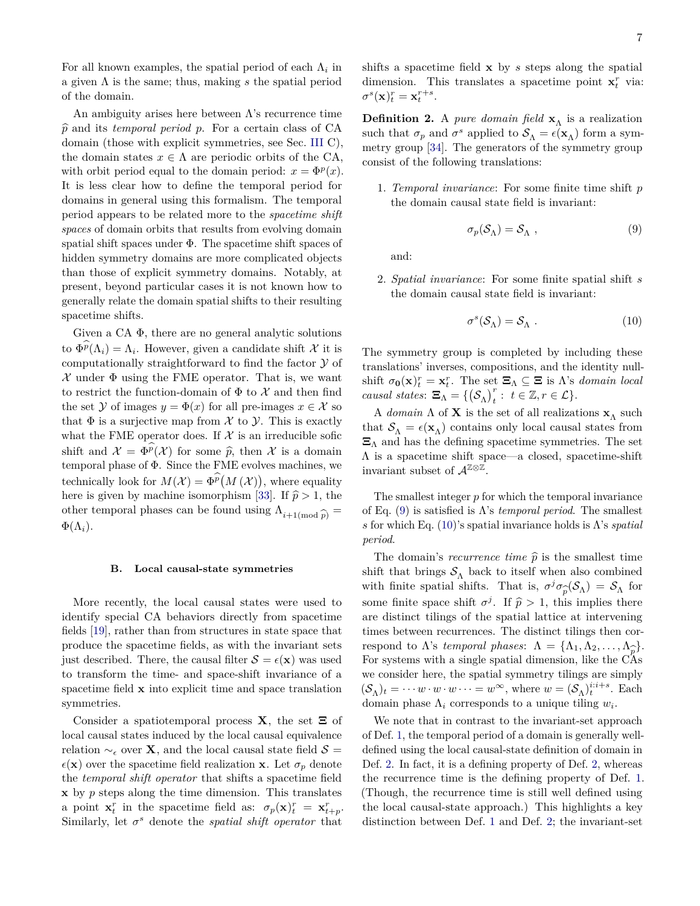For all known examples, the spatial period of each  $\Lambda_i$  in a given Λ is the same; thus, making *s* the spatial period of the domain.

An ambiguity arises here between  $\Lambda$ 's recurrence time  $\hat{p}$  and its *temporal period*  $p$ . For a certain class of CA domain (those with explicit symmetries, see Sec. [III](#page-5-0) C), the domain states  $x \in \Lambda$  are periodic orbits of the CA, with orbit period equal to the domain period:  $x = \Phi^p(x)$ . It is less clear how to define the temporal period for domains in general using this formalism. The temporal period appears to be related more to the *spacetime shift spaces* of domain orbits that results from evolving domain spatial shift spaces under  $\Phi$ . The spacetime shift spaces of hidden symmetry domains are more complicated objects than those of explicit symmetry domains. Notably, at present, beyond particular cases it is not known how to generally relate the domain spatial shifts to their resulting spacetime shifts.

Given a CA  $\Phi$ , there are no general analytic solutions to  $\Phi^p(\Lambda_i) = \Lambda_i$ . However, given a candidate shift X it is computationally straightforward to find the factor Y of  $\mathcal X$  under  $\Phi$  using the FME operator. That is, we want to restrict the function-domain of  $\Phi$  to X and then find the set Y of images  $y = \Phi(x)$  for all pre-images  $x \in \mathcal{X}$  so that  $\Phi$  is a surjective map from  $\mathcal X$  to  $\mathcal Y$ . This is exactly what the FME operator does. If  $\mathcal X$  is an irreducible sofic shift and  $\mathcal{X} = \Phi^p(\mathcal{X})$  for some  $\hat{p}$ , then X is a domain<br>temporal phase of  $\Phi$ . Since the EME evolves mashines we temporal phase of Φ. Since the FME evolves machines, we technically look for  $M(\mathcal{X}) = \Phi^p(M(\mathcal{X}))$ , where equality here is given by machine isomorphism [\[33\]](#page-20-17). If  $\hat{p} > 1$ , the other temporal phases can be found using  $\Lambda_{i+1 \text{(mod } p)} =$  $\Phi(\Lambda_i)$ .

#### **B. Local causal-state symmetries**

More recently, the local causal states were used to identify special CA behaviors directly from spacetime fields [\[19\]](#page-20-3), rather than from structures in state space that produce the spacetime fields, as with the invariant sets just described. There, the causal filter  $S = \epsilon(\mathbf{x})$  was used to transform the time- and space-shift invariance of a spacetime field **x** into explicit time and space translation symmetries.

Consider a spatiotemporal process **X**, the set  $\Xi$  of local causal states induced by the local causal equivalence relation  $\sim_{\epsilon}$  over **X**, and the local causal state field  $S =$  $\epsilon(\mathbf{x})$  over the spacetime field realization **x**. Let  $\sigma_p$  denote the *temporal shift operator* that shifts a spacetime field **x** by *p* steps along the time dimension. This translates a point  $\mathbf{x}_t^r$  in the spacetime field as:  $\sigma_p(\mathbf{x})_t^r = \mathbf{x}_{t+p}^r$ . Similarly, let  $\sigma^s$  denote the *spatial shift operator* that

shifts a spacetime field **x** by *s* steps along the spatial dimension. This translates a spacetime point  $\mathbf{x}_t^r$  via:  $\sigma^s(\mathbf{x})_t^r = \mathbf{x}_t^{r+s}.$ 

**Definition 2.** A *pure domain field*  $\mathbf{x}_{\Lambda}$  is a realization such that  $\sigma_p$  and  $\sigma^s$  applied to  $\mathcal{S}_\Lambda = \epsilon(\mathbf{x}_\Lambda)$  form a symmetry group [\[34\]](#page-20-18). The generators of the symmetry group consist of the following translations:

1. *Temporal invariance*: For some finite time shift *p* the domain causal state field is invariant:

<span id="page-6-0"></span>
$$
\sigma_p(\mathcal{S}_\Lambda) = \mathcal{S}_\Lambda \tag{9}
$$

and:

2. *Spatial invariance*: For some finite spatial shift *s* the domain causal state field is invariant:

<span id="page-6-1"></span>
$$
\sigma^s(\mathcal{S}_\Lambda) = \mathcal{S}_\Lambda . \tag{10}
$$

The symmetry group is completed by including these translations' inverses, compositions, and the identity nullshift  $\sigma_0(\mathbf{x})_t^r = \mathbf{x}_t^r$ . The set  $\Xi_\Lambda \subseteq \Xi$  is  $\Lambda$ 's *domain local causal states*:  $\Xi_{\Lambda} = \{(\mathcal{S}_{\Lambda})_t^r : t \in \mathbb{Z}, r \in \mathcal{L}\}.$ 

A *domain*  $\Lambda$  of **X** is the set of all realizations **x**<sub> $\Lambda$ </sub> such that  $S_{\Lambda} = \epsilon(\mathbf{x}_{\Lambda})$  contains only local causal states from  $\Xi_{\Lambda}$  and has the defining spacetime symmetries. The set Λ is a spacetime shift space—a closed, spacetime-shift invariant subset of  $\mathcal{A}^{\mathbb{Z} \otimes \mathbb{Z}}$ .

The smallest integer *p* for which the temporal invariance of Eq. [\(9\)](#page-6-0) is satisfied is  $\Lambda$ 's *temporal period*. The smallest *s* for which Eq. [\(10\)](#page-6-1)'s spatial invariance holds is Λ's *spatial period*.

The domain's *recurrence time*  $\hat{p}$  is the smallest time shift that brings  $\mathcal{S}_{\Lambda}$  back to itself when also combined with finite spatial shifts. That is,  $\sigma^j \sigma_{\widehat{p}}(\mathcal{S}_\Lambda) = \mathcal{S}_\Lambda$  for box 6,  $\sigma \circ \sigma_p(\mathcal{O}_A) = \mathcal{O}_A$  for<br>
some finite space shift  $\sigma^j$ . If  $\hat{p} > 1$ , this implies there are distinct tilings of the spatial lattice at intervening times between recurrences. The distinct tilings then correspond to  $\Lambda$ 's *temporal phases*:  $\Lambda = {\Lambda_1, \Lambda_2, ..., \Lambda_n}$ . For systems with a single spatial dimension, like the CAs we consider here, the spatial symmetry tilings are simply  $(\mathcal{S}_{\Lambda})_t = \cdots w \cdot w \cdot w \cdots = w^{\infty}$ , where  $w = (\mathcal{S}_{\Lambda})_t^{i:i+s}$ . Each domain phase  $\Lambda_i$  corresponds to a unique tiling  $w_i$ .

We note that in contrast to the invariant-set approach of Def. [1,](#page-5-1) the temporal period of a domain is generally welldefined using the local causal-state definition of domain in Def. [2.](#page-6-1) In fact, it is a defining property of Def. [2,](#page-6-1) whereas the recurrence time is the defining property of Def. [1.](#page-5-1) (Though, the recurrence time is still well defined using the local causal-state approach.) This highlights a key distinction between Def. [1](#page-5-1) and Def. [2;](#page-6-1) the invariant-set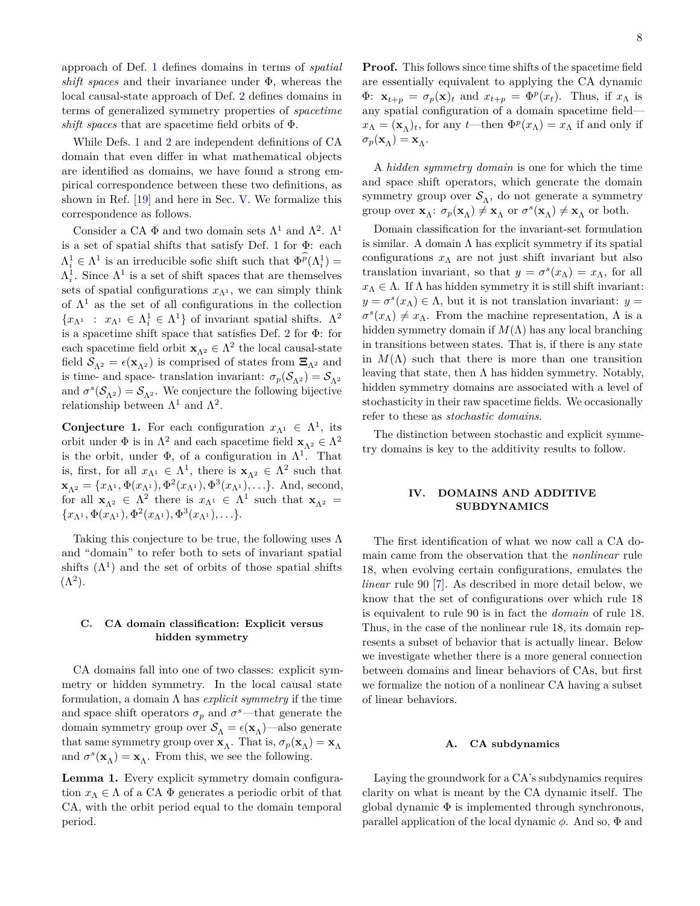approach of Def. [1](#page-5-1) defines domains in terms of *spatial shift spaces* and their invariance under Φ, whereas the local causal-state approach of Def. [2](#page-6-1) defines domains in terms of generalized symmetry properties of *spacetime shift spaces* that are spacetime field orbits of Φ.

While Defs. [1](#page-5-1) and [2](#page-6-1) are independent definitions of CA domain that even differ in what mathematical objects are identified as domains, we have found a strong empirical correspondence between these two definitions, as shown in Ref. [\[19\]](#page-20-3) and here in Sec. [V.](#page-9-0) We formalize this correspondence as follows.

Consider a CA  $\Phi$  and two domain sets  $\Lambda^1$  and  $\Lambda^2$ .  $\Lambda^1$ is a set of spatial shifts that satisfy Def. [1](#page-5-1) for Φ: each  $\Lambda_i^1 \in \Lambda^1$  is an irreducible sofic shift such that  $\Phi^p(\Lambda_i^1)$  =  $\Lambda_i^1$ . Since  $\Lambda^1$  is a set of shift spaces that are themselves sets of spatial configurations  $x_{\Lambda^1}$ , we can simply think of  $\Lambda^1$  as the set of all configurations in the collection  ${x_{\Lambda}}$  :  $x_{\Lambda}$ <sup>1</sup>  $\in$   $\Lambda$ <sup>1</sup>  $\in$   $\Lambda$ <sup>1</sup> $\}$  of invariant spatial shifts.  $\Lambda$ <sup>2</sup> is a spacetime shift space that satisfies Def. [2](#page-6-1) for Φ: for each spacetime field orbit  $\mathbf{x}_{\Lambda^2} \in \Lambda^2$  the local causal-state field  $S_{\Lambda^2} = \epsilon(\mathbf{x}_{\Lambda^2})$  is comprised of states from  $\Xi_{\Lambda^2}$  and is time- and space- translation invariant:  $\sigma_p(\mathcal{S}_{\Lambda^2}) = \mathcal{S}_{\Lambda^2}$ and  $\sigma^s(\mathcal{S}_{\Lambda^2}) = \mathcal{S}_{\Lambda^2}$ . We conjecture the following bijective relationship between  $\Lambda^1$  and  $\Lambda^2$ .

**Conjecture 1.** For each configuration  $x_{\Lambda^1} \in \Lambda^1$ , its orbit under  $\Phi$  is in  $\Lambda^2$  and each spacetime field  $\mathbf{x}_{\Lambda^2} \in \Lambda^2$ is the orbit, under  $\Phi$ , of a configuration in  $\Lambda^1$ . That is, first, for all  $x_{\Lambda^1} \in \Lambda^1$ , there is  $\mathbf{x}_{\Lambda^2} \in \Lambda^2$  such that  $\mathbf{x}_{\Lambda^2} = \{x_{\Lambda^1}, \Phi(x_{\Lambda^1}), \Phi^2(x_{\Lambda^1}), \Phi^3(x_{\Lambda^1}), \ldots\}.$  And, second, for all  $\mathbf{x}_{\Lambda^2} \in \Lambda^2$  there is  $x_{\Lambda^1} \in \Lambda^1$  such that  $\mathbf{x}_{\Lambda^2} =$  ${x_{\Lambda}}$ <sup>1</sup>,  $\Phi(x_{\Lambda}$ <sup>1</sup>),  $\Phi$ <sup>2</sup> $(x_{\Lambda}$ <sup>1</sup>),  $\Phi$ <sup>3</sup> $(x_{\Lambda}$ <sup>1</sup>), ...}.

Taking this conjecture to be true, the following uses  $\Lambda$ and "domain" to refer both to sets of invariant spatial shifts  $(\Lambda^1)$  and the set of orbits of those spatial shifts  $(\Lambda^2)$ .

### **C. CA domain classification: Explicit versus hidden symmetry**

CA domains fall into one of two classes: explicit symmetry or hidden symmetry. In the local causal state formulation, a domain Λ has *explicit symmetry* if the time and space shift operators  $\sigma_p$  and  $\sigma^s$ —that generate the domain symmetry group over  $\mathcal{S}_{\Lambda}=\epsilon(\mathbf{x}_{\Lambda})$  —also generate that same symmetry group over **x**<sub>Λ</sub>. That is,  $\sigma_p(\mathbf{x}_\Lambda) = \mathbf{x}_\Lambda$ and  $\sigma^s(\mathbf{x}_\Lambda) = \mathbf{x}_\Lambda$ . From this, we see the following.

<span id="page-7-0"></span>**Lemma 1.** Every explicit symmetry domain configuration  $x_\Lambda \in \Lambda$  of a CA  $\Phi$  generates a periodic orbit of that CA, with the orbit period equal to the domain temporal period.

**Proof.** This follows since time shifts of the spacetime field are essentially equivalent to applying the CA dynamic  $\Phi: \mathbf{x}_{t+p} = \sigma_p(\mathbf{x})_t$  and  $x_{t+p} = \Phi^p(x_t)$ . Thus, if  $x_\Lambda$  is any spatial configuration of a domain spacetime field  $x_{\Lambda} = (\mathbf{x}_{\Lambda})_t$ , for any *t*—then  $\Phi^p(x_{\Lambda}) = x_{\Lambda}$  if and only if  $\sigma_p(\mathbf{x}_\Lambda) = \mathbf{x}_\Lambda.$ 

A *hidden symmetry domain* is one for which the time and space shift operators, which generate the domain symmetry group over  $\mathcal{S}_{\Lambda}$ , do not generate a symmetry group over  $\mathbf{x}_{\Lambda}$ :  $\sigma_p(\mathbf{x}_{\Lambda}) \neq \mathbf{x}_{\Lambda}$  or  $\sigma^s(\mathbf{x}_{\Lambda}) \neq \mathbf{x}_{\Lambda}$  or both.

Domain classification for the invariant-set formulation is similar. A domain  $\Lambda$  has explicit symmetry if its spatial configurations  $x_\Lambda$  are not just shift invariant but also translation invariant, so that  $y = \sigma^s(x_\Lambda) = x_\Lambda$ , for all  $x_\Lambda \in \Lambda$ . If  $\Lambda$  has hidden symmetry it is still shift invariant:  $y = \sigma^s(x_\Lambda) \in \Lambda$ , but it is not translation invariant:  $y =$  $\sigma^s(x_\Lambda) \neq x_\Lambda$ . From the machine representation,  $\Lambda$  is a hidden symmetry domain if *M*(Λ) has any local branching in transitions between states. That is, if there is any state in  $M(\Lambda)$  such that there is more than one transition leaving that state, then  $\Lambda$  has hidden symmetry. Notably, hidden symmetry domains are associated with a level of stochasticity in their raw spacetime fields. We occasionally refer to these as *stochastic domains*.

The distinction between stochastic and explicit symmetry domains is key to the additivity results to follow.

## **IV. DOMAINS AND ADDITIVE SUBDYNAMICS**

The first identification of what we now call a CA domain came from the observation that the *nonlinear* rule 18, when evolving certain configurations, emulates the *linear* rule 90 [\[7\]](#page-19-4). As described in more detail below, we know that the set of configurations over which rule 18 is equivalent to rule 90 is in fact the *domain* of rule 18. Thus, in the case of the nonlinear rule 18, its domain represents a subset of behavior that is actually linear. Below we investigate whether there is a more general connection between domains and linear behaviors of CAs, but first we formalize the notion of a nonlinear CA having a subset of linear behaviors.

### **A. CA subdynamics**

Laying the groundwork for a CA's subdynamics requires clarity on what is meant by the CA dynamic itself. The global dynamic  $\Phi$  is implemented through synchronous, parallel application of the local dynamic *φ*. And so, Φ and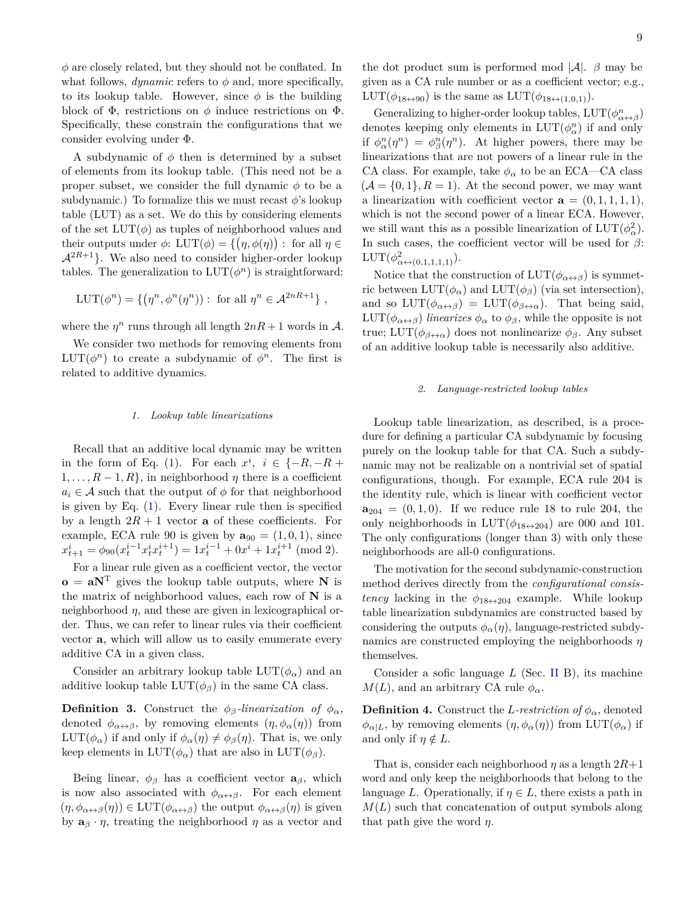*φ* are closely related, but they should not be conflated. In what follows,  $dynamic$  refers to  $\phi$  and, more specifically, to its lookup table. However, since  $\phi$  is the building block of  $\Phi$ , restrictions on  $\phi$  induce restrictions on  $\Phi$ . Specifically, these constrain the configurations that we consider evolving under Φ.

A subdynamic of  $\phi$  then is determined by a subset of elements from its lookup table. (This need not be a proper subset, we consider the full dynamic  $\phi$  to be a subdynamic.) To formalize this we must recast  $\phi$ 's lookup table (LUT) as a set. We do this by considering elements of the set  $LUT(\phi)$  as tuples of neighborhood values and their outputs under  $\phi$ :  $LUT(\phi) = \{(\eta, \phi(\eta)) : \text{ for all } \eta \in$  $\mathcal{A}^{2R+1}$ . We also need to consider higher-order lookup tables. The generalization to  $LUT(\phi^n)$  is straightforward:

$$
LUT(\phi^n) = \{ (\eta^n, \phi^n(\eta^n)) : \text{ for all } \eta^n \in \mathcal{A}^{2nR+1} \},
$$

where the  $\eta^n$  runs through all length  $2nR + 1$  words in A.

We consider two methods for removing elements from  $LUT(\phi^n)$  to create a subdynamic of  $\phi^n$ . The first is related to additive dynamics.

#### *1. Lookup table linearizations*

Recall that an additive local dynamic may be written in the form of Eq. [\(1\)](#page-2-2). For each  $x^i$ ,  $i \in \{-R, -R +$  $1, \ldots, R-1, R$ , in neighborhood  $\eta$  there is a coefficient  $a_i \in \mathcal{A}$  such that the output of  $\phi$  for that neighborhood is given by Eq. [\(1\)](#page-2-2). Every linear rule then is specified by a length  $2R + 1$  vector **a** of these coefficients. For example, ECA rule 90 is given by  $\mathbf{a}_{90} = (1, 0, 1)$ , since  $x_{t+1}^i = \phi_{90}(x_t^{i-1}x_t^ix_t^{i+1}) = 1x_t^{i-1} + 0x^i + 1x_t^{i+1} \pmod{2}.$ 

For a linear rule given as a coefficient vector, the vector  $\mathbf{o} = \mathbf{a} \mathbf{N}^{\mathrm{T}}$  gives the lookup table outputs, where **N** is the matrix of neighborhood values, each row of **N** is a neighborhood  $\eta$ , and these are given in lexicographical order. Thus, we can refer to linear rules via their coefficient vector **a**, which will allow us to easily enumerate every additive CA in a given class.

Consider an arbitrary lookup table  $LUT(\phi_{\alpha})$  and an additive lookup table  $LUT(\phi_{\beta})$  in the same CA class.

**Definition 3.** Construct the  $\phi_{\beta}$ -linearization of  $\phi_{\alpha}$ , denoted  $\phi_{\alpha \leftrightarrow \beta}$ , by removing elements  $(\eta, \phi_{\alpha}(\eta))$  from LUT( $\phi_{\alpha}$ ) if and only if  $\phi_{\alpha}(\eta) \neq \phi_{\beta}(\eta)$ . That is, we only keep elements in  $LUT(\phi_{\alpha})$  that are also in  $LUT(\phi_{\beta})$ .

Being linear,  $\phi_{\beta}$  has a coefficient vector  $\mathbf{a}_{\beta}$ , which is now also associated with  $\phi_{\alpha \leftrightarrow \beta}$ . For each element  $(\eta, \phi_{\alpha \leftrightarrow \beta}(\eta)) \in \text{LUT}(\phi_{\alpha \leftrightarrow \beta})$  the output  $\phi_{\alpha \leftrightarrow \beta}(\eta)$  is given by  $\mathbf{a}_{\beta} \cdot \eta$ , treating the neighborhood  $\eta$  as a vector and

the dot product sum is performed mod  $|\mathcal{A}|$ .  $\beta$  may be given as a CA rule number or as a coefficient vector; e.g.,  $LUT(\phi_{18\leftrightarrow 90})$  is the same as  $LUT(\phi_{18\leftrightarrow (1,0,1)}).$ 

Generalizing to higher-order lookup tables,  $LUT(\phi_{\alpha\leftrightarrow\beta}^n)$ denotes keeping only elements in  $LUT(\phi_{\alpha}^n)$  if and only if  $\phi_{\alpha}^{n}(\eta^{n}) = \phi_{\beta}^{n}(\eta^{n})$ . At higher powers, there may be linearizations that are not powers of a linear rule in the CA class. For example, take  $\phi_{\alpha}$  to be an ECA—CA class  $(A = \{0, 1\}, R = 1)$ . At the second power, we may want a linearization with coefficient vector  $\mathbf{a} = (0, 1, 1, 1, 1)$ , which is not the second power of a linear ECA. However, we still want this as a possible linearization of  $LUT(\phi_{\alpha}^2)$ . In such cases, the coefficient vector will be used for *β*:  $LUT(\phi_{\alpha \leftrightarrow (0,1,1,1,1)}^2).$ 

Notice that the construction of  $LUT(\phi_{\alpha \leftrightarrow \beta})$  is symmetric between  $LUT(\phi_{\alpha})$  and  $LUT(\phi_{\beta})$  (via set intersection), and so  $LUT(\phi_{\alpha \leftrightarrow \beta}) = LUT(\phi_{\beta \leftrightarrow \alpha})$ . That being said, LUT( $\phi_{\alpha \leftrightarrow \beta}$ ) *linearizes*  $\phi_{\alpha}$  to  $\phi_{\beta}$ , while the opposite is not true; LUT( $\phi_{\beta \leftrightarrow \alpha}$ ) does not nonlinearize  $\phi_{\beta}$ . Any subset of an additive lookup table is necessarily also additive.

#### *2. Language-restricted lookup tables*

Lookup table linearization, as described, is a procedure for defining a particular CA subdynamic by focusing purely on the lookup table for that CA. Such a subdynamic may not be realizable on a nontrivial set of spatial configurations, though. For example, ECA rule 204 is the identity rule, which is linear with coefficient vector  $a_{204} = (0, 1, 0)$ . If we reduce rule 18 to rule 204, the only neighborhoods in  $LUT(\phi_{18\leftrightarrow 204})$  are 000 and 101. The only configurations (longer than 3) with only these neighborhoods are all-0 configurations.

The motivation for the second subdynamic-construction method derives directly from the *configurational consistency* lacking in the  $\phi_{18\leftrightarrow 204}$  example. While lookup table linearization subdynamics are constructed based by considering the outputs  $\phi_{\alpha}(\eta)$ , language-restricted subdynamics are constructed employing the neighborhoods *η* themselves.

Consider a sofic language *L* (Sec. [II](#page-1-0) B), its machine  $M(L)$ , and an arbitrary CA rule  $\phi_{\alpha}$ .

**Definition 4.** Construct the *L*-restriction of  $\phi_{\alpha}$ , denoted  $\phi_{\alpha|L}$ , by removing elements  $(\eta, \phi_{\alpha}(\eta))$  from LUT $(\phi_{\alpha})$  if and only if  $\eta \notin L$ .

That is, consider each neighborhood *η* as a length 2*R*+1 word and only keep the neighborhoods that belong to the language *L*. Operationally, if  $\eta \in L$ , there exists a path in  $M(L)$  such that concatenation of output symbols along that path give the word *η*.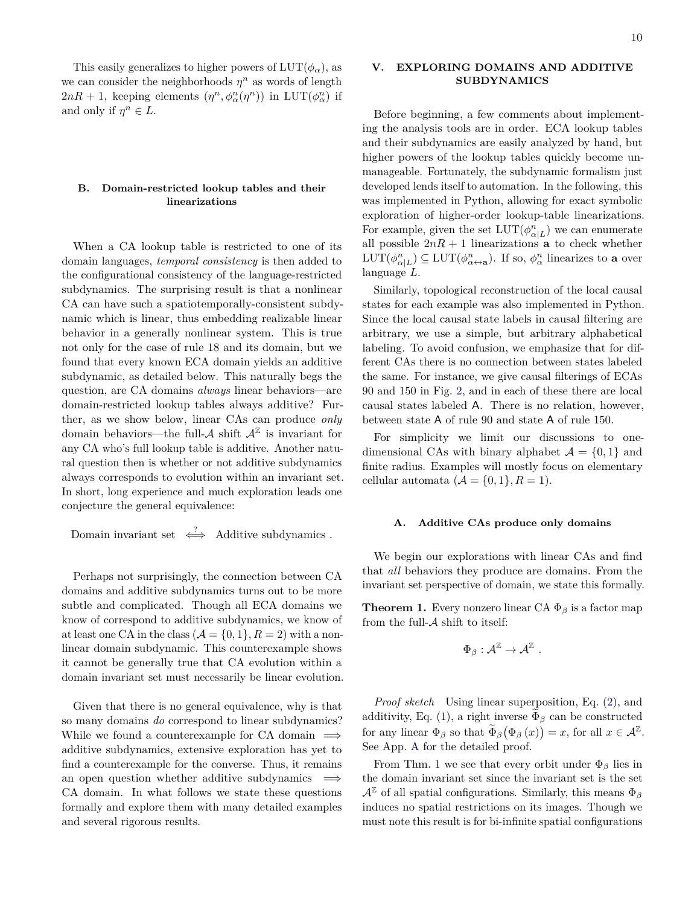This easily generalizes to higher powers of  $LUT(\phi_{\alpha})$ , as we can consider the neighborhoods  $\eta^n$  as words of length  $2nR + 1$ , keeping elements  $(\eta^n, \phi^n_{\alpha}(\eta^n))$  in LUT $(\phi^n_{\alpha})$  if and only if  $\eta^n \in L$ .

## **B. Domain-restricted lookup tables and their linearizations**

When a CA lookup table is restricted to one of its domain languages, *temporal consistency* is then added to the configurational consistency of the language-restricted subdynamics. The surprising result is that a nonlinear CA can have such a spatiotemporally-consistent subdynamic which is linear, thus embedding realizable linear behavior in a generally nonlinear system. This is true not only for the case of rule 18 and its domain, but we found that every known ECA domain yields an additive subdynamic, as detailed below. This naturally begs the question, are CA domains *always* linear behaviors—are domain-restricted lookup tables always additive? Further, as we show below, linear CAs can produce *only* domain behaviors—the full- $A$  shift  $A^{\mathbb{Z}}$  is invariant for any CA who's full lookup table is additive. Another natural question then is whether or not additive subdynamics always corresponds to evolution within an invariant set. In short, long experience and much exploration leads one conjecture the general equivalence:

Domain invariant set  $\iff$  Additive subdynamics .

Perhaps not surprisingly, the connection between CA domains and additive subdynamics turns out to be more subtle and complicated. Though all ECA domains we know of correspond to additive subdynamics, we know of at least one CA in the class  $(A = \{0, 1\}, R = 2)$  with a nonlinear domain subdynamic. This counterexample shows it cannot be generally true that CA evolution within a domain invariant set must necessarily be linear evolution.

Given that there is no general equivalence, why is that so many domains *do* correspond to linear subdynamics? While we found a counterexample for CA domain  $\implies$ additive subdynamics, extensive exploration has yet to find a counterexample for the converse. Thus, it remains an open question whether additive subdynamics  $\implies$ CA domain. In what follows we state these questions formally and explore them with many detailed examples and several rigorous results.

## <span id="page-9-0"></span>**V. EXPLORING DOMAINS AND ADDITIVE SUBDYNAMICS**

Before beginning, a few comments about implementing the analysis tools are in order. ECA lookup tables and their subdynamics are easily analyzed by hand, but higher powers of the lookup tables quickly become unmanageable. Fortunately, the subdynamic formalism just developed lends itself to automation. In the following, this was implemented in Python, allowing for exact symbolic exploration of higher-order lookup-table linearizations. For example, given the set  $LUT(\phi_{\alpha|L}^n)$  we can enumerate all possible  $2nR + 1$  linearizations **a** to check whether  $LUT(\phi_{\alpha|L}^n) \subseteq LUT(\phi_{\alpha \leftrightarrow \mathbf{a}}^n)$ . If so,  $\phi_{\alpha}^n$  linearizes to **a** over language *L*.

Similarly, topological reconstruction of the local causal states for each example was also implemented in Python. Since the local causal state labels in causal filtering are arbitrary, we use a simple, but arbitrary alphabetical labeling. To avoid confusion, we emphasize that for different CAs there is no connection between states labeled the same. For instance, we give causal filterings of ECAs 90 and 150 in Fig. [2,](#page-10-0) and in each of these there are local causal states labeled A. There is no relation, however, between state A of rule 90 and state A of rule 150.

For simplicity we limit our discussions to onedimensional CAs with binary alphabet  $\mathcal{A} = \{0, 1\}$  and finite radius. Examples will mostly focus on elementary cellular automata  $(A = \{0, 1\}, R = 1)$ .

### **A. Additive CAs produce only domains**

We begin our explorations with linear CAs and find that *all* behaviors they produce are domains. From the invariant set perspective of domain, we state this formally.

<span id="page-9-1"></span>**Theorem 1.** Every nonzero linear CA  $\Phi_{\beta}$  is a factor map from the full- $A$  shift to itself:

$$
\Phi_\beta: \mathcal{A}^\mathbb{Z} \to \mathcal{A}^\mathbb{Z} \ .
$$

*Proof sketch* Using linear superposition, Eq. [\(2\)](#page-2-3), and additivity, Eq. [\(1\)](#page-2-2), a right inverse  $\Phi_{\beta}$  can be constructed for any linear  $\Phi_{\beta}$  so that  $\Phi_{\beta}(\Phi_{\beta}(x)) = x$ , for all  $x \in A^{\mathbb{Z}}$ . See App. [A](#page-20-19) for the detailed proof.

From Thm. [1](#page-9-1) we see that every orbit under  $\Phi_\beta$  lies in the domain invariant set since the invariant set is the set  $\mathcal{A}^{\mathbb{Z}}$  of all spatial configurations. Similarly, this means  $\Phi_{\beta}$ induces no spatial restrictions on its images. Though we must note this result is for bi-infinite spatial configurations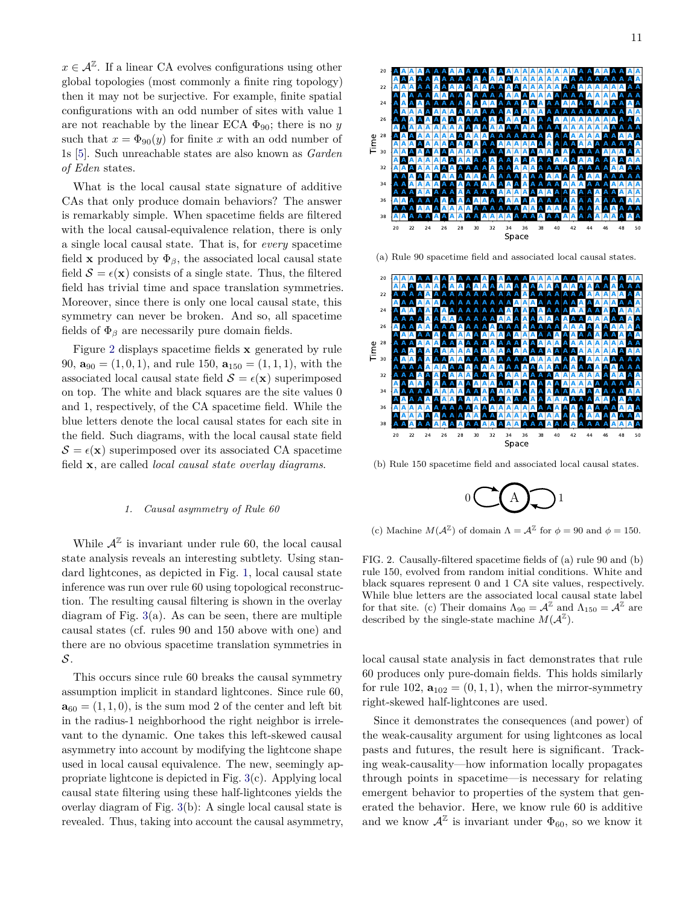$x \in \mathcal{A}^{\mathbb{Z}}$ . If a linear CA evolves configurations using other global topologies (most commonly a finite ring topology) then it may not be surjective. For example, finite spatial configurations with an odd number of sites with value 1 are not reachable by the linear ECA  $\Phi_{90}$ ; there is no *y* such that  $x = \Phi_{90}(y)$  for finite x with an odd number of 1s [\[5\]](#page-19-2). Such unreachable states are also known as *Garden of Eden* states.

What is the local causal state signature of additive CAs that only produce domain behaviors? The answer is remarkably simple. When spacetime fields are filtered with the local causal-equivalence relation, there is only a single local causal state. That is, for *every* spacetime field **x** produced by  $\Phi_{\beta}$ , the associated local causal state field  $S = \epsilon(\mathbf{x})$  consists of a single state. Thus, the filtered field has trivial time and space translation symmetries. Moreover, since there is only one local causal state, this symmetry can never be broken. And so, all spacetime fields of  $\Phi_{\beta}$  are necessarily pure domain fields.

Figure [2](#page-10-0) displays spacetime fields **x** generated by rule 90,  $\mathbf{a}_{90} = (1, 0, 1)$ , and rule 150,  $\mathbf{a}_{150} = (1, 1, 1)$ , with the associated local causal state field  $S = \epsilon(\mathbf{x})$  superimposed on top. The white and black squares are the site values 0 and 1, respectively, of the CA spacetime field. While the blue letters denote the local causal states for each site in the field. Such diagrams, with the local causal state field  $S = \epsilon(\mathbf{x})$  superimposed over its associated CA spacetime field **x**, are called *local causal state overlay diagrams*.

#### *1. Causal asymmetry of Rule 60*

While  $\mathcal{A}^{\mathbb{Z}}$  is invariant under rule 60, the local causal state analysis reveals an interesting subtlety. Using standard lightcones, as depicted in Fig. [1,](#page-4-0) local causal state inference was run over rule 60 using topological reconstruction. The resulting causal filtering is shown in the overlay diagram of Fig.  $3(a)$  $3(a)$ . As can be seen, there are multiple causal states (cf. rules 90 and 150 above with one) and there are no obvious spacetime translation symmetries in  $\mathcal{S}.$ 

This occurs since rule 60 breaks the causal symmetry assumption implicit in standard lightcones. Since rule 60,  $\mathbf{a}_{60} = (1, 1, 0)$ , is the sum mod 2 of the center and left bit in the radius-1 neighborhood the right neighbor is irrelevant to the dynamic. One takes this left-skewed causal asymmetry into account by modifying the lightcone shape used in local causal equivalence. The new, seemingly appropriate lightcone is depicted in Fig. [3\(](#page-11-0)c). Applying local causal state filtering using these half-lightcones yields the overlay diagram of Fig. [3\(](#page-11-0)b): A single local causal state is revealed. Thus, taking into account the causal asymmetry,



(a) Rule 90 spacetime field and associated local causal states.



(b) Rule 150 spacetime field and associated local causal states.



(c) Machine  $M(A^{\mathbb{Z}})$  of domain  $\Lambda = A^{\mathbb{Z}}$  for  $\phi = 90$  and  $\phi = 150$ .

<span id="page-10-0"></span>FIG. 2. Causally-filtered spacetime fields of (a) rule 90 and (b) rule 150, evolved from random initial conditions. White and black squares represent 0 and 1 CA site values, respectively. While blue letters are the associated local causal state label for that site. (c) Their domains  $\Lambda_{90} = \mathcal{A}^{\mathbb{Z}}$  and  $\Lambda_{150} = \mathcal{A}^{\mathbb{Z}}$  are described by the single-state machine  $M(\mathcal{A}^{\mathbb{Z}})$ .

local causal state analysis in fact demonstrates that rule 60 produces only pure-domain fields. This holds similarly for rule 102,  $\mathbf{a}_{102} = (0, 1, 1)$ , when the mirror-symmetry right-skewed half-lightcones are used.

Since it demonstrates the consequences (and power) of the weak-causality argument for using lightcones as local pasts and futures, the result here is significant. Tracking weak-causality—how information locally propagates through points in spacetime—is necessary for relating emergent behavior to properties of the system that generated the behavior. Here, we know rule 60 is additive and we know  $\mathcal{A}^{\mathbb{Z}}$  is invariant under  $\Phi_{60}$ , so we know it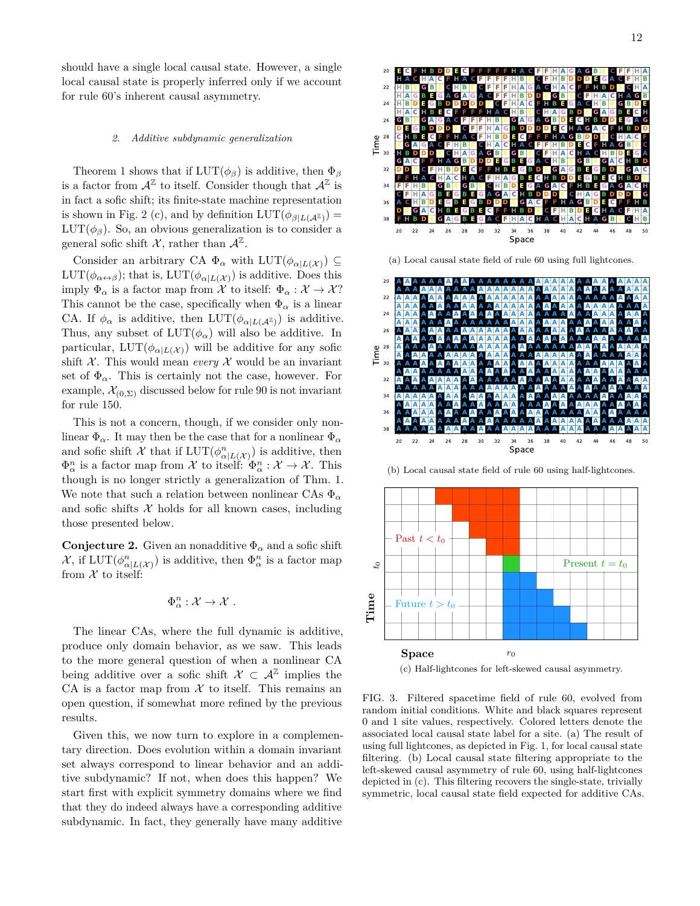should have a single local causal state. However, a single local causal state is properly inferred only if we account for rule 60's inherent causal asymmetry.

#### *2. Additive subdynamic generalization*

Theorem [1](#page-9-1) shows that if  $LUT(\phi_{\beta})$  is additive, then  $\Phi_{\beta}$ is a factor from  $\mathcal{A}^{\mathbb{Z}}$  to itself. Consider though that  $\mathcal{A}^{\mathbb{Z}}$  is in fact a sofic shift; its finite-state machine representation is shown in Fig. [2](#page-10-0) (c), and by definition  $LUT(\phi_{\beta|L(\mathcal{A}^{\mathbb{Z}})}) =$  $LUT(\phi_{\beta})$ . So, an obvious generalization is to consider a general sofic shift X, rather than  $\mathcal{A}^{\mathbb{Z}}$ .

Consider an arbitrary CA  $\Phi_{\alpha}$  with  $LUT(\phi_{\alpha|L(\mathcal{X})}) \subseteq$  $LUT(\phi_{\alpha \leftrightarrow \beta})$ ; that is,  $LUT(\phi_{\alpha|L(\mathcal{X})})$  is additive. Does this imply  $\Phi_{\alpha}$  is a factor map from X to itself:  $\Phi_{\alpha} : \mathcal{X} \to \mathcal{X}$ ? This cannot be the case, specifically when  $\Phi_{\alpha}$  is a linear CA. If  $\phi_{\alpha}$  is additive, then  $LUT(\phi_{\alpha|L(\mathcal{A}^{\mathbb{Z}})})$  is additive. Thus, any subset of  $LUT(\phi_{\alpha})$  will also be additive. In particular,  $LUT(\phi_{\alpha|L(\mathcal{X})})$  will be additive for any sofic shift  $X$ . This would mean *every*  $X$  would be an invariant set of  $\Phi_{\alpha}$ . This is certainly not the case, however. For example,  $\mathcal{X}_{(0,\Sigma)}$  discussed below for rule 90 is not invariant for rule 150.

This is not a concern, though, if we consider only nonlinear  $\Phi_{\alpha}$ . It may then be the case that for a nonlinear  $\Phi_{\alpha}$ and sofic shift  $\mathcal X$  that if  $LUT(\phi_{\alpha|L(\mathcal X)}^n)$  is additive, then  $\Phi_{\alpha}^{n}$  is a factor map from  $\mathcal{X}$  to itself:  $\Phi_{\alpha}^{n} : \mathcal{X} \to \mathcal{X}$ . This though is no longer strictly a generalization of Thm. [1.](#page-9-1) We note that such a relation between nonlinear CAs  $\Phi_{\alpha}$ and sofic shifts  $X$  holds for all known cases, including those presented below.

**Conjecture 2.** Given an nonadditive  $\Phi_{\alpha}$  and a sofic shift  $\mathcal{X}$ , if  $LUT(\phi^n_{\alpha|L(\mathcal{X})})$  is additive, then  $\Phi^n_{\alpha}$  is a factor map from  $X$  to itself:

$$
\Phi^n_\alpha: \mathcal{X} \to \mathcal{X} .
$$

The linear CAs, where the full dynamic is additive, produce only domain behavior, as we saw. This leads to the more general question of when a nonlinear CA being additive over a sofic shift  $\mathcal{X} \subset \mathcal{A}^{\mathbb{Z}}$  implies the CA is a factor map from  $X$  to itself. This remains an open question, if somewhat more refined by the previous results.

Given this, we now turn to explore in a complementary direction. Does evolution within a domain invariant set always correspond to linear behavior and an additive subdynamic? If not, when does this happen? We start first with explicit symmetry domains where we find that they do indeed always have a corresponding additive subdynamic. In fact, they generally have many additive



(a) Local causal state field of rule 60 using full lightcones.



(b) Local causal state field of rule 60 using half-lightcones.



(c) Half-lightcones for left-skewed causal asymmetry.

<span id="page-11-0"></span>FIG. 3. Filtered spacetime field of rule 60, evolved from random initial conditions. White and black squares represent 0 and 1 site values, respectively. Colored letters denote the associated local causal state label for a site. (a) The result of using full lightcones, as depicted in Fig. [1,](#page-4-0) for local causal state filtering. (b) Local causal state filtering appropriate to the left-skewed causal asymmetry of rule 60, using half-lightcones depicted in (c). This filtering recovers the single-state, trivially symmetric, local causal state field expected for additive CAs.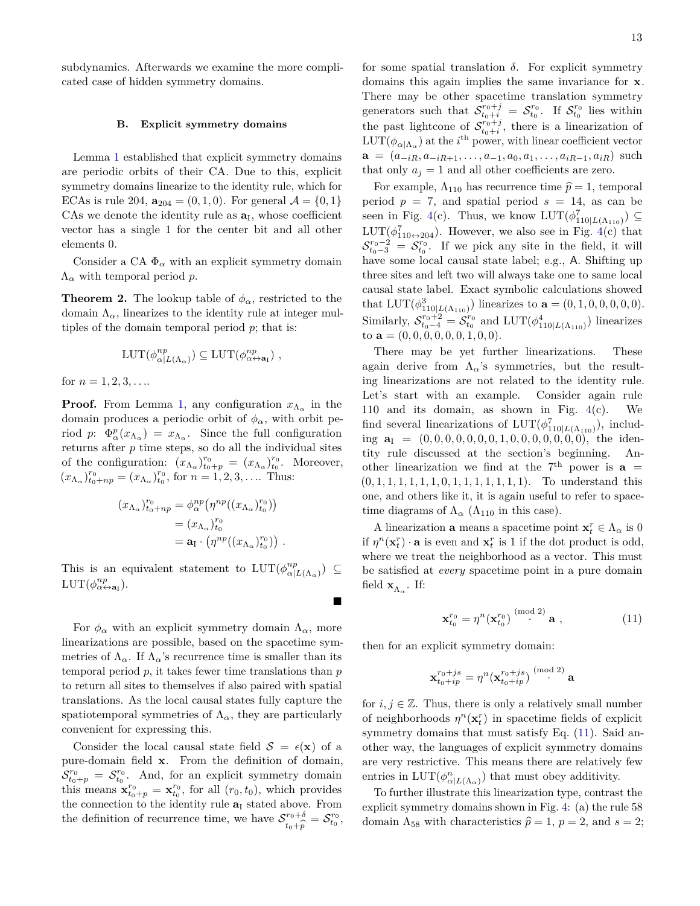subdynamics. Afterwards we examine the more complicated case of hidden symmetry domains.

## **B. Explicit symmetry domains**

Lemma [1](#page-7-0) established that explicit symmetry domains are periodic orbits of their CA. Due to this, explicit symmetry domains linearize to the identity rule, which for ECAs is rule 204,  $\mathbf{a}_{204} = (0, 1, 0)$ . For general  $\mathcal{A} = \{0, 1\}$ CAs we denote the identity rule as  $a_I$ , whose coefficient vector has a single 1 for the center bit and all other elements 0.

Consider a CA  $\Phi_{\alpha}$  with an explicit symmetry domain Λ*<sup>α</sup>* with temporal period *p*.

**Theorem 2.** The lookup table of  $\phi_{\alpha}$ , restricted to the domain  $\Lambda_{\alpha}$ , linearizes to the identity rule at integer multiples of the domain temporal period *p*; that is:

$$
LUT(\phi^{np}_{\alpha|L(\Lambda_{\alpha})}) \subseteq LUT(\phi^{np}_{\alpha \leftrightarrow \mathbf{a}_I}) ,
$$

for  $n = 1, 2, 3, \ldots$ 

**Proof.** From Lemma [1,](#page-7-0) any configuration  $x_{\Lambda_{\alpha}}$  in the domain produces a periodic orbit of  $\phi_{\alpha}$ , with orbit period *p*:  $\Phi_{\alpha}^{p}(x_{\Lambda_{\alpha}}) = x_{\Lambda_{\alpha}}$ . Since the full configuration returns after *p* time steps, so do all the individual sites of the configuration:  $(x_{\Lambda_\alpha})_{t_0+p}^{r_0} = (x_{\Lambda_\alpha})_{t_0}^{r_0}$ . Moreover,  $(x_{\Lambda_{\alpha}})_{t_0+np}^{r_0} = (x_{\Lambda_{\alpha}})_{t_0}^{r_0}$ , for  $n = 1, 2, 3, \ldots$  Thus:

$$
(x_{\Lambda_{\alpha}})_{t_0+np}^{r_0} = \phi_{\alpha}^{np} \left( \eta^{np} ((x_{\Lambda_{\alpha}})_{t_0}^{r_0}) \right)
$$
  
=  $(x_{\Lambda_{\alpha}})_{t_0}^{r_0}$   
=  $\mathbf{a}_I \cdot \left( \eta^{np} ((x_{\Lambda_{\alpha}})_{t_0}^{r_0}) \right)$ .

This is an equivalent statement to  $LUT(\phi^{np}_{\alpha})$  $\binom{np}{\alpha | L(\Lambda_{\alpha})}$  ⊆  $LUT(\phi^{np}_{\alpha \leftrightarrow \mathbf{a}_I}).$ 

For  $\phi_{\alpha}$  with an explicit symmetry domain  $\Lambda_{\alpha}$ , more linearizations are possible, based on the spacetime symmetries of  $\Lambda_{\alpha}$ . If  $\Lambda_{\alpha}$ 's recurrence time is smaller than its temporal period *p*, it takes fewer time translations than *p* to return all sites to themselves if also paired with spatial translations. As the local causal states fully capture the spatiotemporal symmetries of  $\Lambda_{\alpha}$ , they are particularly convenient for expressing this.

Consider the local causal state field  $S = \epsilon(\mathbf{x})$  of a pure-domain field **x**. From the definition of domain,  $S_{t_0+p}^{r_0} = S_{t_0}^{r_0}$ . And, for an explicit symmetry domain this means  $\mathbf{x}_{t_0+p}^{r_0} = \mathbf{x}_{t_0}^{r_0}$ , for all  $(r_0,t_0)$ , which provides the connection to the identity rule  $a<sub>I</sub>$  stated above. From the definition of recurrence time, we have  $S^{r_0+\delta}$  $r_0 + \delta \over r_0 + \hat{p} = S^{r_0}_{t_0},$ 

for some spatial translation  $\delta$ . For explicit symmetry domains this again implies the same invariance for **x**. There may be other spacetime translation symmetry generators such that  $S_{t_0+i}^{r_0+j} = S_{t_0}^{r_0}$ . If  $S_{t_0}^{r_0}$  lies within the past lightcone of  $S_{t_0+i}^{r_0+j}$ , there is a linearization of  $LUT(\phi_{\alpha|\Lambda_{\alpha}})$  at the *i*<sup>th</sup> power, with linear coefficient vector  $\mathbf{a} = (a_{-iR}, a_{-iR+1}, \dots, a_{-1}, a_0, a_1, \dots, a_{iR-1}, a_{iR})$  such that only  $a_j = 1$  and all other coefficients are zero.

For example,  $\Lambda_{110}$  has recurrence time  $\hat{p} = 1$ , temporal period  $p = 7$ , and spatial period  $s = 14$ , as can be seen in Fig. [4\(](#page-13-0)c). Thus, we know  $LUT(\phi_{110|L(\Lambda_{110})}^7) \subseteq$  $LUT(\phi_{110\leftrightarrow 204}^7)$ . However, we also see in Fig. [4\(](#page-13-0)c) that  $S_{t_0-3}^{r_0-2} = S_{t_0}^{r_0}$ . If we pick any site in the field, it will have some local causal state label; e.g., A. Shifting up three sites and left two will always take one to same local causal state label. Exact symbolic calculations showed that  $LUT(\phi_{110|L(\Lambda_{110})}^3)$  linearizes to  $\mathbf{a} = (0, 1, 0, 0, 0, 0, 0)$ . Similarly,  $S_{t_0-4}^{r_0+2} = S_{t_0}^{r_0}$  and  $LUT(\phi_{110|L(\Lambda_{110})}^4)$  linearizes to  $\mathbf{a} = (0, 0, 0, 0, 0, 0, 0, 1, 0, 0)$ .

There may be yet further linearizations. These again derive from  $\Lambda_{\alpha}$ 's symmetries, but the resulting linearizations are not related to the identity rule. Let's start with an example. Consider again rule 110 and its domain, as shown in Fig. [4\(](#page-13-0)c). We find several linearizations of  $LUT(\phi_{110|L(\Lambda_{110})}^7)$ , including  $\mathbf{a}_I = (0, 0, 0, 0, 0, 0, 0, 1, 0, 0, 0, 0, 0, 0, 0)$ , the identity rule discussed at the section's beginning. Another linearization we find at the  $7<sup>th</sup>$  power is  $a =$ (0*,* 1*,* 1*,* 1*,* 1*,* 1*,* 1*,* 0*,* 1*,* 1*,* 1*,* 1*,* 1*,* 1*,* 1). To understand this one, and others like it, it is again useful to refer to spacetime diagrams of  $\Lambda_{\alpha}$  ( $\Lambda_{110}$  in this case).

A linearization **a** means a spacetime point  $\mathbf{x}_t^r \in \Lambda_\alpha$  is 0 if  $\eta^n(\mathbf{x}_t^r) \cdot \mathbf{a}$  is even and  $\mathbf{x}_t^r$  is 1 if the dot product is odd, where we treat the neighborhood as a vector. This must be satisfied at *every* spacetime point in a pure domain field  $\mathbf{x}_{\Lambda_{\alpha}}$ . If:

<span id="page-12-0"></span>
$$
\mathbf{x}_{t_0}^{r_0} = \eta^n(\mathbf{x}_{t_0}^{r_0}) \stackrel{\text{(mod 2)}}{\cdot} \mathbf{a} , \qquad (11)
$$

then for an explicit symmetry domain:

 $\blacksquare$ 

$$
\mathbf{x}_{t_0+ip}^{r_0+js}=\eta^n(\mathbf{x}_{t_0+ip}^{r_0+js})\stackrel{(\mathrm{mod}\ 2)}{\cdot}\mathbf{a}
$$

for  $i, j \in \mathbb{Z}$ . Thus, there is only a relatively small number of neighborhoods  $\eta^n(\mathbf{x}_t^r)$  in spacetime fields of explicit symmetry domains that must satisfy Eq.  $(11)$ . Said another way, the languages of explicit symmetry domains are very restrictive. This means there are relatively few entries in  $LUT(\phi^n_{\alpha|L(\Lambda_\alpha)})$  that must obey additivity.

To further illustrate this linearization type, contrast the explicit symmetry domains shown in Fig. [4:](#page-13-0) (a) the rule 58 domain  $\Lambda_{58}$  with characteristics  $\hat{p} = 1, p = 2$ , and  $s = 2$ ;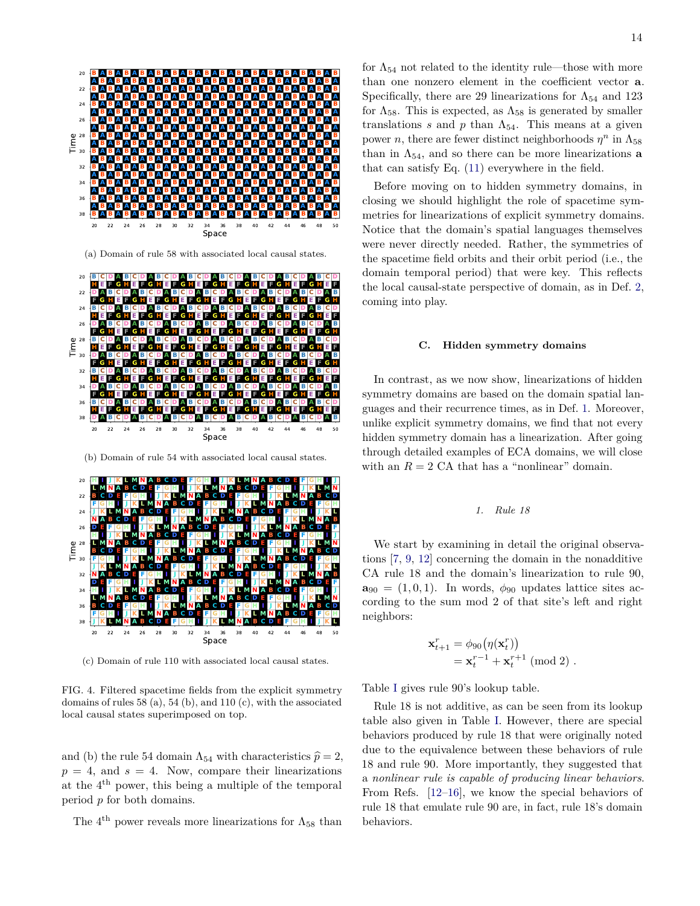

(a) Domain of rule 58 with associated local causal states.





(c) Domain of rule 110 with associated local causal states.

<span id="page-13-0"></span>FIG. 4. Filtered spacetime fields from the explicit symmetry domains of rules 58 (a), 54 (b), and 110 (c), with the associated local causal states superimposed on top.

and (b) the rule 54 domain  $\Lambda_{54}$  with characteristics  $\hat{p} = 2$ ,  $p = 4$ , and  $s = 4$ . Now, compare their linearizations at the 4 th power, this being a multiple of the temporal period *p* for both domains.

The  $4<sup>th</sup>$  power reveals more linearizations for  $\Lambda_{58}$  than

for  $\Lambda_{54}$  not related to the identity rule—those with more than one nonzero element in the coefficient vector **a**. Specifically, there are 29 linearizations for  $\Lambda_{54}$  and 123 for  $\Lambda_{58}$ . This is expected, as  $\Lambda_{58}$  is generated by smaller translations  $s$  and  $p$  than  $\Lambda_{54}$ . This means at a given power *n*, there are fewer distinct neighborhoods  $\eta^n$  in  $\Lambda_{58}$ than in  $\Lambda_{54}$ , and so there can be more linearizations **a** that can satisfy Eq. [\(11\)](#page-12-0) everywhere in the field.

Before moving on to hidden symmetry domains, in closing we should highlight the role of spacetime symmetries for linearizations of explicit symmetry domains. Notice that the domain's spatial languages themselves were never directly needed. Rather, the symmetries of the spacetime field orbits and their orbit period (i.e., the domain temporal period) that were key. This reflects the local causal-state perspective of domain, as in Def. [2,](#page-6-1) coming into play.

#### **C. Hidden symmetry domains**

In contrast, as we now show, linearizations of hidden symmetry domains are based on the domain spatial languages and their recurrence times, as in Def. [1.](#page-5-1) Moreover, unlike explicit symmetry domains, we find that not every hidden symmetry domain has a linearization. After going through detailed examples of ECA domains, we will close with an  $R = 2$  CA that has a "nonlinear" domain.

## *1. Rule 18*

We start by examining in detail the original observations [\[7,](#page-19-4) [9,](#page-19-6) [12\]](#page-19-9) concerning the domain in the nonadditive CA rule 18 and the domain's linearization to rule 90,  $\mathbf{a}_{90} = (1, 0, 1)$ . In words,  $\phi_{90}$  updates lattice sites according to the sum mod 2 of that site's left and right neighbors:

$$
\mathbf{x}_{t+1}^r = \phi_{90}(\eta(\mathbf{x}_t^r))
$$
  
= 
$$
\mathbf{x}_t^{r-1} + \mathbf{x}_t^{r+1} \pmod{2} .
$$

Table [I](#page-14-0) gives rule 90's lookup table.

Rule 18 is not additive, as can be seen from its lookup table also given in Table [I.](#page-14-0) However, there are special behaviors produced by rule 18 that were originally noted due to the equivalence between these behaviors of rule 18 and rule 90. More importantly, they suggested that a *nonlinear rule is capable of producing linear behaviors*. From Refs. [\[12–](#page-19-9)[16\]](#page-20-0), we know the special behaviors of rule 18 that emulate rule 90 are, in fact, rule 18's domain behaviors.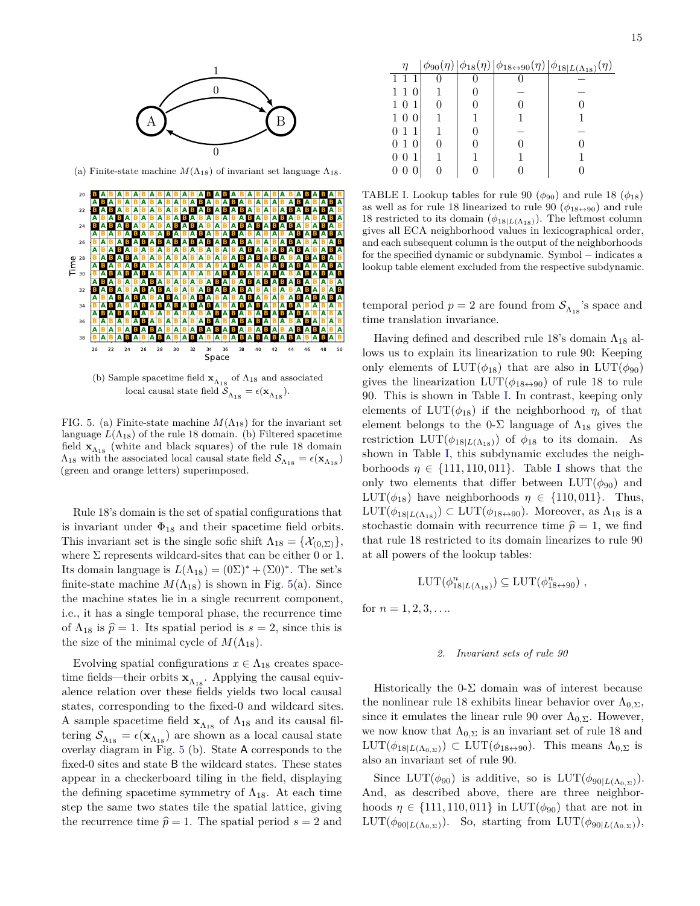

(a) Finite-state machine  $M(\Lambda_{18})$  of invariant set language  $\Lambda_{18}$ .



<span id="page-14-1"></span>FIG. 5. (a) Finite-state machine  $M(\Lambda_{18})$  for the invariant set language  $L(\Lambda_{18})$  of the rule 18 domain. (b) Filtered spacetime field  $\mathbf{x}_{\Lambda_{18}}$  (white and black squares) of the rule 18 domain  $\Lambda_{18}$  with the associated local causal state field  $\mathcal{S}_{\Lambda_{18}} = \epsilon(\mathbf{x}_{\Lambda_{18}})$ (green and orange letters) superimposed.

Rule 18's domain is the set of spatial configurations that is invariant under  $\Phi_{18}$  and their spacetime field orbits. This invariant set is the single sofic shift  $\Lambda_{18} = {\mathcal{X}_{(0,\Sigma)}}$ , where  $\Sigma$  represents wildcard-sites that can be either 0 or 1. Its domain language is  $L(\Lambda_{18}) = (0\Sigma)^* + (\Sigma 0)^*$ . The set's finite-state machine  $M(\Lambda_{18})$  is shown in Fig. [5\(](#page-14-1)a). Since the machine states lie in a single recurrent component, i.e., it has a single temporal phase, the recurrence time of  $\Lambda_{18}$  is  $\hat{p} = 1$ . Its spatial period is  $s = 2$ , since this is the size of the minimal cycle of  $M(\Lambda_{18})$ .

Evolving spatial configurations  $x \in \Lambda_{18}$  creates spacetime fields—their orbits  $\mathbf{x}_{\Lambda_{18}}$  . Applying the causal equivalence relation over these fields yields two local causal states, corresponding to the fixed-0 and wildcard sites. A sample spacetime field  $\mathbf{x}_{\Lambda_{18}}$  of  $\Lambda_{18}$  and its causal filtering  $\mathcal{S}_{\Lambda_{18}} = \epsilon(\mathbf{x}_{\Lambda_{18}})$  are shown as a local causal state overlay diagram in Fig. [5](#page-14-1) (b). State A corresponds to the fixed-0 sites and state B the wildcard states. These states appear in a checkerboard tiling in the field, displaying the defining spacetime symmetry of  $\Lambda_{18}$ . At each time step the same two states tile the spatial lattice, giving the recurrence time  $\hat{p} = 1$ . The spatial period  $s = 2$  and

| 1 1 0               |  |  |
|---------------------|--|--|
| 101                 |  |  |
| 100                 |  |  |
| $0\,$ 1 $\,$ 1 $\,$ |  |  |
| $0\,$ 1 $\,$ 0 $\,$ |  |  |
| 001                 |  |  |
| 0 <sub>0</sub>      |  |  |

<span id="page-14-0"></span>TABLE I. Lookup tables for rule 90  $(\phi_{90})$  and rule 18  $(\phi_{18})$ as well as for rule 18 linearized to rule 90  $(\phi_{18\leftrightarrow 90})$  and rule 18 restricted to its domain  $(\phi_{18|L(\Lambda_{18})})$ . The leftmost column gives all ECA neighborhood values in lexicographical order, and each subsequent column is the output of the neighborhoods for the specified dynamic or subdynamic. Symbol − indicates a lookup table element excluded from the respective subdynamic.

temporal period  $p = 2$  are found from  $S_{\Lambda_{18}}$ 's space and time translation invariance.

Having defined and described rule 18's domain  $\Lambda_{18}$  allows us to explain its linearization to rule 90: Keeping only elements of  $LUT(\phi_{18})$  that are also in  $LUT(\phi_{90})$ gives the linearization  $LUT(\phi_{18\leftrightarrow 90})$  of rule 18 to rule 90. This is shown in Table [I.](#page-14-0) In contrast, keeping only elements of  $LUT(\phi_{18})$  if the neighborhood  $\eta_i$  of that element belongs to the 0- $\Sigma$  language of  $\Lambda_{18}$  gives the restriction  $LUT(\phi_{18|L(\Lambda_{18})})$  of  $\phi_{18}$  to its domain. As shown in Table [I,](#page-14-0) this subdynamic excludes the neighborhoods  $\eta \in \{111, 110, 011\}$ . Table [I](#page-14-0) shows that the only two elements that differ between  $LUT(\phi_{90})$  and LUT( $\phi_{18}$ ) have neighborhoods  $\eta \in \{110, 011\}$ . Thus,  $LUT(\phi_{18|L(\Lambda_{18})}) \subset LUT(\phi_{18\leftrightarrow 90})$ . Moreover, as  $\Lambda_{18}$  is a stochastic domain with recurrence time  $\hat{p} = 1$ , we find that rule 18 restricted to its domain linearizes to rule 90 at all powers of the lookup tables:

$$
LUT(\phi_{18|L(\Lambda_{18})}^n) \subseteq LUT(\phi_{18\leftrightarrow 90}^n) ,
$$

for  $n = 1, 2, 3, \ldots$ 

#### *2. Invariant sets of rule 90*

Historically the  $0$ - $\Sigma$  domain was of interest because the nonlinear rule 18 exhibits linear behavior over  $\Lambda_{0,\Sigma}$ , since it emulates the linear rule 90 over  $\Lambda_{0,\Sigma}$ . However, we now know that  $\Lambda_{0,\Sigma}$  is an invariant set of rule 18 and  $LUT(\phi_{18|L(\Lambda_{0,\Sigma})}) \subset LUT(\phi_{18\leftrightarrow 90})$ . This means  $\Lambda_{0,\Sigma}$  is also an invariant set of rule 90.

Since  $LUT(\phi_{90})$  is additive, so is  $LUT(\phi_{90}|_{L(\Lambda_{0.2})}).$ And, as described above, there are three neighborhoods  $\eta \in \{111, 110, 011\}$  in LUT( $\phi_{90}$ ) that are not in  $LUT(\phi_{90|L(\Lambda_{0,\Sigma})})$ . So, starting from  $LUT(\phi_{90|L(\Lambda_{0,\Sigma})})$ ,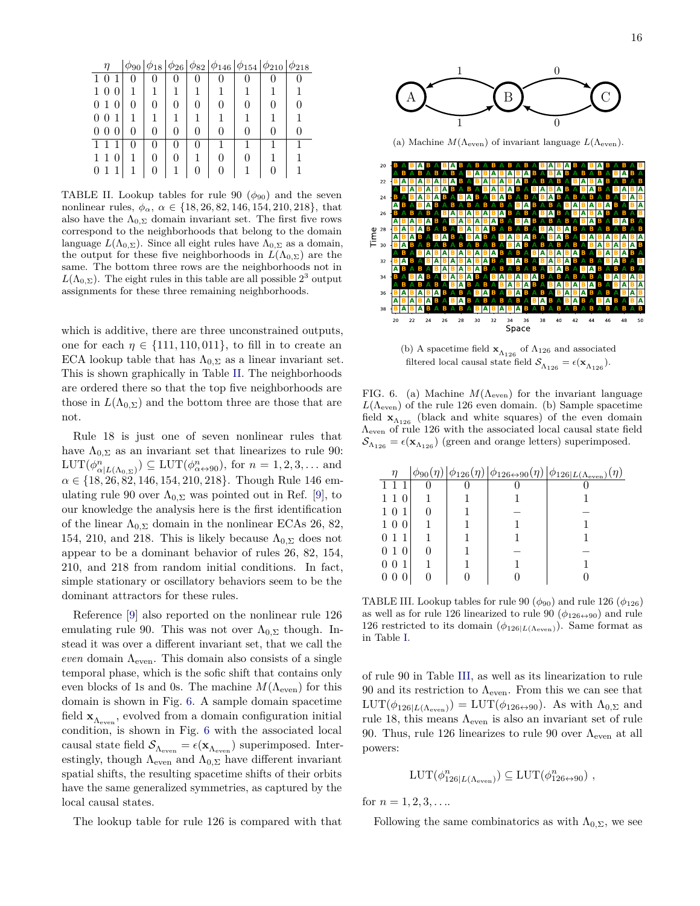|                          | $\phi_{90}$  | $\phi_{18}$ |              | $ \phi_{26} \phi_{82} \phi_{146} \phi_{154} \phi_{210}$ |   | $\varphi_{218}$ |
|--------------------------|--------------|-------------|--------------|---------------------------------------------------------|---|-----------------|
| $1\,0$                   | 0            | 0           |              |                                                         |   |                 |
| $1\,0$<br>$\overline{0}$ |              |             |              |                                                         |   |                 |
| 010                      | 0            | 0           | $\mathbf{0}$ | $\theta$                                                | 0 |                 |
| $\theta$<br>0<br>1       |              | 1           |              |                                                         |   |                 |
| 0<br>$\theta$<br>0       | $\mathbf{0}$ | 0           |              |                                                         | 0 |                 |
| $1 \; 1$                 | 0            | 0           | 0            |                                                         |   |                 |
| 1 1 0                    |              | 0           |              | $\theta$                                                |   |                 |
| 0 <sub>1</sub>           |              | 0           |              |                                                         |   |                 |

<span id="page-15-0"></span>TABLE II. Lookup tables for rule 90  $(\phi_{90})$  and the seven nonlinear rules,  $\phi_{\alpha}$ ,  $\alpha \in \{18, 26, 82, 146, 154, 210, 218\}$ , that also have the  $\Lambda_{0,\Sigma}$  domain invariant set. The first five rows correspond to the neighborhoods that belong to the domain language  $L(\Lambda_{0,\Sigma})$ . Since all eight rules have  $\Lambda_{0,\Sigma}$  as a domain, the output for these five neighborhoods in  $L(\Lambda_{0,\Sigma})$  are the same. The bottom three rows are the neighborhoods not in  $L(\Lambda_{0,\Sigma})$ . The eight rules in this table are all possible 2<sup>3</sup> output assignments for these three remaining neighborhoods.

which is additive, there are three unconstrained outputs, one for each  $\eta \in \{111, 110, 011\}$ , to fill in to create an ECA lookup table that has  $\Lambda_{0,\Sigma}$  as a linear invariant set. This is shown graphically in Table [II.](#page-15-0) The neighborhoods are ordered there so that the top five neighborhoods are those in  $L(\Lambda_{0,\Sigma})$  and the bottom three are those that are not.

Rule 18 is just one of seven nonlinear rules that have  $\Lambda_{0,\Sigma}$  as an invariant set that linearizes to rule 90:  $LUT(\phi^n_{\alpha|L(\Lambda_{0,\Sigma})}) \subseteq LUT(\phi^n_{\alpha \leftrightarrow 90})$ , for  $n = 1, 2, 3, ...$  and *α* ∈ {18*,* 26*,* 82*,* 146*,* 154*,* 210*,* 218}. Though Rule 146 emulating rule 90 over  $\Lambda_{0,\Sigma}$  was pointed out in Ref. [\[9\]](#page-19-6), to our knowledge the analysis here is the first identification of the linear  $\Lambda_{0,\Sigma}$  domain in the nonlinear ECAs 26, 82, 154, 210, and 218. This is likely because  $\Lambda_{0,\Sigma}$  does not appear to be a dominant behavior of rules 26, 82, 154, 210, and 218 from random initial conditions. In fact, simple stationary or oscillatory behaviors seem to be the dominant attractors for these rules.

Reference [\[9\]](#page-19-6) also reported on the nonlinear rule 126 emulating rule 90. This was not over  $\Lambda_{0,\Sigma}$  though. Instead it was over a different invariant set, that we call the  $even$  domain  $\Lambda_{even}$ . This domain also consists of a single temporal phase, which is the sofic shift that contains only even blocks of 1s and 0s. The machine  $M(\Lambda_{\text{even}})$  for this domain is shown in Fig. [6.](#page-15-1) A sample domain spacetime field  $\mathbf{x}_{\Lambda_{\text{even}}}$  , evolved from a domain configuration initial condition, is shown in Fig. [6](#page-15-1) with the associated local causal state field  $\mathcal{S}_{\Lambda_{\text{even}}} = \epsilon(\mathbf{x}_{\Lambda_{\text{even}}})$  superimposed. Interestingly, though  $\Lambda_{\text{even}}$  and  $\Lambda_{0,\Sigma}$  have different invariant spatial shifts, the resulting spacetime shifts of their orbits have the same generalized symmetries, as captured by the local causal states.

The lookup table for rule 126 is compared with that



(a) Machine *M*(Λeven) of invariant language *L*(Λeven).



(b) A spacetime field  $\mathbf{x}_{\Lambda_{126}}$  of  $\Lambda_{126}$  and associated filtered local causal state field  $\mathcal{S}_{\Lambda_{126}} = \epsilon(\mathbf{x}_{\Lambda_{126}})$ .

<span id="page-15-1"></span>FIG. 6. (a) Machine  $M(\Lambda_{\text{even}})$  for the invariant language  $L(\Lambda_{\text{even}})$  of the rule 126 even domain. (b) Sample spacetime field  $\mathbf{x}_{\Lambda_{126}}$  (black and white squares) of the even domain Λeven of rule 126 with the associated local causal state field  $\mathcal{S}_{\Lambda_{126}} = \epsilon(\mathbf{x}_{\Lambda_{126}})$  (green and orange letters) superimposed.

| η                  |  | $\phi_{90}(\eta)  \phi_{126}(\eta)  \phi_{126 \leftrightarrow 90}(\eta)  \phi_{126 L(\Lambda_{\rm even})}(\eta)$ |
|--------------------|--|------------------------------------------------------------------------------------------------------------------|
|                    |  |                                                                                                                  |
| $1\;1$<br>$\theta$ |  |                                                                                                                  |
|                    |  |                                                                                                                  |
| -0                 |  |                                                                                                                  |
| $\overline{1}$     |  |                                                                                                                  |
| 010                |  |                                                                                                                  |
|                    |  |                                                                                                                  |
|                    |  |                                                                                                                  |

<span id="page-15-2"></span>TABLE III. Lookup tables for rule 90  $(\phi_{90})$  and rule 126  $(\phi_{126})$ as well as for rule 126 linearized to rule 90  $(\phi_{126 \leftrightarrow 90})$  and rule 126 restricted to its domain  $(\phi_{126|L(\Lambda_{even})})$ . Same format as in Table [I.](#page-14-0)

of rule 90 in Table [III,](#page-15-2) as well as its linearization to rule 90 and its restriction to  $\Lambda_{\text{even}}$ . From this we can see that  $LUT(\phi_{126|L(\Lambda_{even})}) = LUT(\phi_{126\leftrightarrow 90})$ . As with  $\Lambda_{0,\Sigma}$  and rule 18, this means  $\Lambda_{\text{even}}$  is also an invariant set of rule 90. Thus, rule 126 linearizes to rule 90 over  $\Lambda_{\text{even}}$  at all powers:

$$
LUT(\phi^n_{126|L(\Lambda_{\text{even}})}) \subseteq LUT(\phi^n_{126\leftrightarrow 90}) ,
$$

for  $n = 1, 2, 3, \ldots$ 

Following the same combinatorics as with  $\Lambda_{0,\Sigma}$ , we see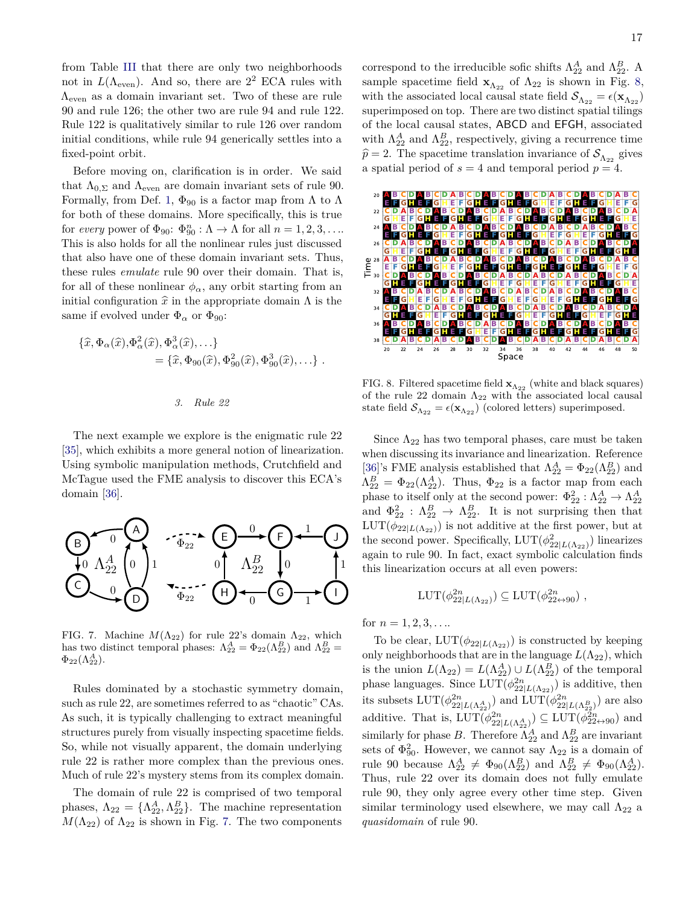from Table [III](#page-15-2) that there are only two neighborhoods not in  $L(\Lambda_{\text{even}})$ . And so, there are  $2^2$  ECA rules with  $\Lambda_{\text{even}}$  as a domain invariant set. Two of these are rule 90 and rule 126; the other two are rule 94 and rule 122. Rule 122 is qualitatively similar to rule 126 over random initial conditions, while rule 94 generically settles into a fixed-point orbit.

Before moving on, clarification is in order. We said that  $\Lambda_{0,\Sigma}$  and  $\Lambda_{\text{even}}$  are domain invariant sets of rule 90. Formally, from Def. [1,](#page-5-1)  $\Phi_{90}$  is a factor map from  $\Lambda$  to  $\Lambda$ for both of these domains. More specifically, this is true for *every* power of  $\Phi_{90}$ :  $\Phi_{90}^n : \Lambda \to \Lambda$  for all  $n = 1, 2, 3, \ldots$ This is also holds for all the nonlinear rules just discussed that also have one of these domain invariant sets. Thus, these rules *emulate* rule 90 over their domain. That is, for all of these nonlinear  $\phi_{\alpha}$ , any orbit starting from an initial configuration  $\hat{x}$  in the appropriate domain  $\Lambda$  is the same if evolved under  $\Phi_{\alpha}$  or  $\Phi_{90}$ :

$$
\{\widehat{x}, \Phi_{\alpha}(\widehat{x}), \Phi_{\alpha}^{2}(\widehat{x}), \Phi_{\alpha}^{3}(\widehat{x}), \ldots\}
$$
  
=  $\{\widehat{x}, \Phi_{90}(\widehat{x}), \Phi_{90}^{2}(\widehat{x}), \Phi_{90}^{3}(\widehat{x}), \ldots\}$ .

*3. Rule 22*

The next example we explore is the enigmatic rule 22 [\[35\]](#page-20-20), which exhibits a more general notion of linearization. Using symbolic manipulation methods, Crutchfield and McTague used the FME analysis to discover this ECA's domain [\[36\]](#page-20-21).



<span id="page-16-0"></span>FIG. 7. Machine  $M(\Lambda_{22})$  for rule 22's domain  $\Lambda_{22}$ , which has two distinct temporal phases:  $\Lambda_{22}^A = \Phi_{22}(\Lambda_{22}^B)$  and  $\Lambda_{22}^B =$  $\Phi_{22}(\Lambda_{22}^A).$ 

Rules dominated by a stochastic symmetry domain, such as rule 22, are sometimes referred to as "chaotic" CAs. As such, it is typically challenging to extract meaningful structures purely from visually inspecting spacetime fields. So, while not visually apparent, the domain underlying rule 22 is rather more complex than the previous ones. Much of rule 22's mystery stems from its complex domain.

The domain of rule 22 is comprised of two temporal phases,  $\Lambda_{22} = {\Lambda_{22}^A, \Lambda_{22}^B}$ . The machine representation  $M(\Lambda_{22})$  of  $\Lambda_{22}$  is shown in Fig. [7.](#page-16-0) The two components

correspond to the irreducible sofic shifts  $\Lambda_{22}^A$  and  $\Lambda_{22}^B$ . A sample spacetime field  $\mathbf{x}_{\Lambda_{22}}$  of  $\Lambda_{22}$  is shown in Fig. [8,](#page-16-1) with the associated local causal state field  $\mathcal{S}_{\Lambda_{22}} = \epsilon(\mathbf{x}_{\Lambda_{22}})$ superimposed on top. There are two distinct spatial tilings of the local causal states, ABCD and EFGH, associated with  $\Lambda_{22}^A$  and  $\Lambda_{22}^B$ , respectively, giving a recurrence time  $\hat{p} = 2$ . The spacetime translation invariance of  $S_{\Lambda_{22}}$  gives a spatial period of  $s = 4$  and temporal period  $p = 4$ .



<span id="page-16-1"></span>FIG. 8. Filtered spacetime field  $\mathbf{x}_{\Lambda_{22}}$  (white and black squares) of the rule 22 domain  $\Lambda_{22}$  with the associated local causal state field  $\mathcal{S}_{\Lambda_{22}} = \epsilon(\mathbf{x}_{\Lambda_{22}})$  (colored letters) superimposed.

Since  $\Lambda_{22}$  has two temporal phases, care must be taken when discussing its invariance and linearization. Reference [\[36\]](#page-20-21)'s FME analysis established that  $\Lambda_{22}^A = \Phi_{22}(\Lambda_{22}^B)$  and  $\Lambda_{22}^B = \Phi_{22}(\Lambda_{22}^A)$ . Thus,  $\Phi_{22}$  is a factor map from each phase to itself only at the second power:  $\Phi_{22}^2 : \Lambda_{22}^A \to \Lambda_{22}^A$ and  $\Phi_{22}^2$  :  $\Lambda_{22}^B \to \Lambda_{22}^B$ . It is not surprising then that  $LUT(\phi_{22|L(\Lambda_{22})})$  is not additive at the first power, but at the second power. Specifically,  $LUT(\phi_{22|L(\Lambda_{22})}^2)$  linearizes again to rule 90. In fact, exact symbolic calculation finds this linearization occurs at all even powers:

$$
LUT(\phi_{22|L(\Lambda_{22})}^{2n}) \subseteq LUT(\phi_{22\leftrightarrow 90}^{2n}) ,
$$

for  $n = 1, 2, 3, \ldots$ 

To be clear,  $LUT(\phi_{22|L(\Lambda_{22})})$  is constructed by keeping only neighborhoods that are in the language  $L(\Lambda_{22})$ , which is the union  $L(\Lambda_{22}) = L(\Lambda_{22}^A) \cup L(\Lambda_{22}^B)$  of the temporal phase languages. Since  $LUT(\phi_{22|L(\Lambda_{22})}^{2n})$  is additive, then its subsets  $LUT(\phi_{22|L(\Lambda_{22}^A)}^{2n})$  and  $LUT(\phi_{22|L(\Lambda_{22}^B)}^{2n})$  are also additive. That is,  $LUT(\phi_{22|L(\Lambda_{22}^A)}^{2n}) \subseteq LUT(\phi_{22\leftrightarrow 90}^{2n})$  and similarly for phase *B*. Therefore  $\Lambda_{22}^A$  and  $\Lambda_{22}^B$  are invariant sets of  $\Phi_{90}^2$ . However, we cannot say  $\Lambda_{22}$  is a domain of rule 90 because  $\Lambda_{22}^A \neq \Phi_{90}(\Lambda_{22}^B)$  and  $\Lambda_{22}^B \neq \Phi_{90}(\Lambda_{22}^A)$ . Thus, rule 22 over its domain does not fully emulate rule 90, they only agree every other time step. Given similar terminology used elsewhere, we may call  $\Lambda_{22}$  a *quasidomain* of rule 90.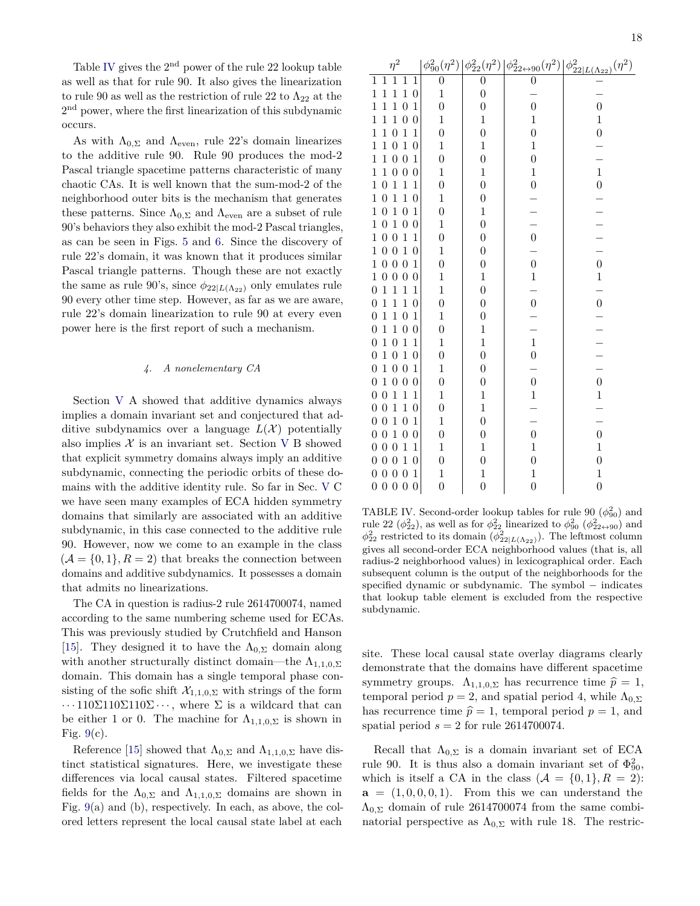Table [IV](#page-17-0) gives the  $2<sup>nd</sup>$  power of the rule 22 lookup table as well as that for rule 90. It also gives the linearization to rule 90 as well as the restriction of rule 22 to  $\Lambda_{22}$  at the 2<sup>nd</sup> power, where the first linearization of this subdynamic occurs.

As with  $\Lambda_{0,\Sigma}$  and  $\Lambda_{\text{even}}$ , rule 22's domain linearizes to the additive rule 90. Rule 90 produces the mod-2 Pascal triangle spacetime patterns characteristic of many chaotic CAs. It is well known that the sum-mod-2 of the neighborhood outer bits is the mechanism that generates these patterns. Since  $\Lambda_{0,\Sigma}$  and  $\Lambda_{\text{even}}$  are a subset of rule 90's behaviors they also exhibit the mod-2 Pascal triangles, as can be seen in Figs. [5](#page-14-1) and [6.](#page-15-1) Since the discovery of rule 22's domain, it was known that it produces similar Pascal triangle patterns. Though these are not exactly the same as rule 90's, since  $\phi_{22|L(\Lambda_{22})}$  only emulates rule 90 every other time step. However, as far as we are aware, rule 22's domain linearization to rule 90 at every even power here is the first report of such a mechanism.

## *4. A nonelementary CA*

Section [V](#page-9-0) A showed that additive dynamics always implies a domain invariant set and conjectured that additive subdynamics over a language  $L(\mathcal{X})$  potentially also implies  $X$  is an invariant set. Section [V](#page-9-0) B showed that explicit symmetry domains always imply an additive subdynamic, connecting the periodic orbits of these domains with the additive identity rule. So far in Sec. [V](#page-9-0) C we have seen many examples of ECA hidden symmetry domains that similarly are associated with an additive subdynamic, in this case connected to the additive rule 90. However, now we come to an example in the class  $(A = \{0, 1\}, R = 2)$  that breaks the connection between domains and additive subdynamics. It possesses a domain that admits no linearizations.

The CA in question is radius-2 rule 2614700074, named according to the same numbering scheme used for ECAs. This was previously studied by Crutchfield and Hanson [\[15\]](#page-20-22). They designed it to have the  $\Lambda_{0,\Sigma}$  domain along with another structurally distinct domain—the  $\Lambda_{1,1,0,\Sigma}$ domain. This domain has a single temporal phase consisting of the sofic shift  $\mathcal{X}_{1,1,0,\Sigma}$  with strings of the form  $\cdots 110\Sigma 110\Sigma 110\Sigma \cdots$ , where  $\Sigma$  is a wildcard that can be either 1 or 0. The machine for  $\Lambda_{1,1,0,\Sigma}$  is shown in Fig.  $9(c)$  $9(c)$ .

Reference [\[15\]](#page-20-22) showed that  $\Lambda_{0,\Sigma}$  and  $\Lambda_{1,1,0,\Sigma}$  have distinct statistical signatures. Here, we investigate these differences via local causal states. Filtered spacetime fields for the  $\Lambda_{0,\Sigma}$  and  $\Lambda_{1,1,0,\Sigma}$  domains are shown in Fig. [9\(](#page-18-0)a) and (b), respectively. In each, as above, the colored letters represent the local causal state label at each

| $\eta^2$                                                                                 |                  |                  |                                              | $\begin{array}{c c} \left. \phi _{90}^2(\eta^2)\right  \phi _{22}^2(\eta^2)\left  \phi _{22\leftrightarrow 90}^2(\eta^2)\right  \phi _{22 L(\Lambda _{22})}^2(\eta^2) \nonumber \\ \hline 0 & 0 & 0 & - \end{array}$ |
|------------------------------------------------------------------------------------------|------------------|------------------|----------------------------------------------|----------------------------------------------------------------------------------------------------------------------------------------------------------------------------------------------------------------------|
| $\overline{1}$<br>$\overline{1}$<br>$\overline{1}$<br>$\mathbf 1$<br>1                   |                  |                  |                                              |                                                                                                                                                                                                                      |
| $\mathbf{1}$<br>$\mathbf{1}$<br>$\mathbf{1}$<br>$\mathbf{1}$<br>$\boldsymbol{0}$         | $\mathbf{1}$     | $\boldsymbol{0}$ |                                              |                                                                                                                                                                                                                      |
| $\mathbf{1}$<br>$\overline{0}$<br>$\mathbf 1$<br>$\mathbf{1}$<br>$\mathbf{1}$            | $\boldsymbol{0}$ | $\overline{0}$   | $\overline{0}$                               | $\overline{0}$                                                                                                                                                                                                       |
| $\overline{0}$<br>$\mathbf 1$<br>$\mathbf{1}$<br>$\mathbf 1$<br>$\boldsymbol{0}$         | $\mathbf 1$      | $\mathbf{1}$     | $\,1$                                        | $\mathbf{1}$                                                                                                                                                                                                         |
| $\mathbf{1}$<br>$\mathbf 1$<br>$\boldsymbol{0}$<br>$\mathbf 1$<br>$\mathbf 1$            | $\boldsymbol{0}$ | $\overline{0}$   | $\overline{0}$                               | $\boldsymbol{0}$                                                                                                                                                                                                     |
| $\mathbf{1}$<br>$\mathbf{1}$<br>$\boldsymbol{0}$<br>$\mathbf{1}$<br>$\boldsymbol{0}$     | $\mathbf 1$      | $\,1$            | $\,1$                                        |                                                                                                                                                                                                                      |
| $\mathbf{1}$<br>$\boldsymbol{0}$<br>$\overline{0}$<br>$\mathbf{1}$<br>$\mathbf{1}$       | $\boldsymbol{0}$ | $\overline{0}$   | $\boldsymbol{0}$                             |                                                                                                                                                                                                                      |
| $\mathbf{1}$<br>$\,1$<br>$\boldsymbol{0}$<br>$\overline{0}$<br>$\boldsymbol{0}$          | $\mathbf 1$      | $\,1$            | $\,1$                                        | $\mathbf{1}$                                                                                                                                                                                                         |
| $\mathbf{1}$<br>$\mathbf{1}$<br>$1\,$ $0\,$<br>$\mathbf{1}$                              | $\boldsymbol{0}$ | $\boldsymbol{0}$ | $\boldsymbol{0}$                             | $\boldsymbol{0}$                                                                                                                                                                                                     |
| $\mathbf{1}$<br>$\mathbf{1}$<br>$\boldsymbol{0}$<br>$\mathbf{1}$<br>$\boldsymbol{0}$     | $\mathbf 1$      | $\boldsymbol{0}$ |                                              |                                                                                                                                                                                                                      |
| $\mathbf{1}$<br>$\mathbf{1}$<br>$\boldsymbol{0}$<br>$\boldsymbol{0}$<br>$\mathbf{1}$     | $\boldsymbol{0}$ | $\,1$            | $\begin{array}{c}\n- \\ - \\ 0\n\end{array}$ |                                                                                                                                                                                                                      |
| $1\,$ $0\,$<br>$\,1\,$<br>$\boldsymbol{0}$<br>$\boldsymbol{0}$                           | $\,1$            | $\overline{0}$   |                                              |                                                                                                                                                                                                                      |
| $1\ 0\ 0$<br>$\mathbf{1}$<br>$\mathbf{1}$                                                | $\boldsymbol{0}$ | $\boldsymbol{0}$ |                                              |                                                                                                                                                                                                                      |
| $\mathbf{1}$<br>$1\,$ $0\,$<br>$\boldsymbol{0}$<br>$\boldsymbol{0}$                      | $\mathbf 1$      | $\boldsymbol{0}$ |                                              |                                                                                                                                                                                                                      |
| $1\,$ $0\,$<br>$\overline{0}$<br>$\overline{0}$<br>$\mathbf{1}$                          | $\boldsymbol{0}$ | $\boldsymbol{0}$ | $\overline{0}$                               | $\overline{0}$                                                                                                                                                                                                       |
| $1\,$ $0\,$<br>$\boldsymbol{0}$<br>$\overline{0}$<br>$\boldsymbol{0}$                    | $\mathbf 1$      | $\,1$            | $\mathbf{1}$                                 | $\mathbf{1}$                                                                                                                                                                                                         |
| $\mathbf{1}$<br>$\mathbf{1}$<br>$\mathbf{1}$<br>$\boldsymbol{0}$<br>$\mathbf{1}$         | $\,1$            | $\boldsymbol{0}$ |                                              |                                                                                                                                                                                                                      |
| $\mathbf{1}$<br>$\mathbf{1}$<br>$\mathbf{1}$<br>$\boldsymbol{0}$<br>0                    | $\boldsymbol{0}$ | $\boldsymbol{0}$ | $\frac{1}{0}$                                | $\overline{0}$                                                                                                                                                                                                       |
| $\mathbf{1}$<br>$\mathbf{1}$<br>$\overline{0}$<br>$\boldsymbol{0}$<br>$\mathbf{1}$       | $\mathbf 1$      | $\overline{0}$   |                                              |                                                                                                                                                                                                                      |
| $\mathbf{1}$<br>$\mathbf{1}$<br>$\overline{0}$<br>$\boldsymbol{0}$<br>$\boldsymbol{0}$   | $\boldsymbol{0}$ | $\,1$            |                                              |                                                                                                                                                                                                                      |
| $\mathbf{1}$<br>$\mathbf{1}$<br>$\boldsymbol{0}$<br>$\boldsymbol{0}$<br>$\mathbf{1}$     | $\mathbf{1}$     | $\mathbf{1}$     | $\mathbf 1$                                  |                                                                                                                                                                                                                      |
| $\mathbf{1}$<br>$\mathbf{1}$<br>$\boldsymbol{0}$<br>$\boldsymbol{0}$<br>$\boldsymbol{0}$ | $\boldsymbol{0}$ | $\overline{0}$   | $\boldsymbol{0}$                             |                                                                                                                                                                                                                      |
| $\boldsymbol{0}$<br>$\boldsymbol{0}$<br>$\boldsymbol{0}$<br>$\,1$<br>$\mathbf 1$         | $\,1$            | $\boldsymbol{0}$ |                                              |                                                                                                                                                                                                                      |
| $\boldsymbol{0}$<br>$1\,$<br>$\boldsymbol{0}$<br>$\boldsymbol{0}$<br>$\boldsymbol{0}$    | $\boldsymbol{0}$ | $\boldsymbol{0}$ | $\boldsymbol{0}$                             | $\overline{0}$                                                                                                                                                                                                       |
| $\mathbf{1}$<br>$\mathbf{1}$<br>$\theta$<br>$\boldsymbol{0}$<br>$\mathbf{1}$             | $\mathbf 1$      | $\mathbf{1}$     | $\mathbf{1}$                                 | $\mathbf{1}$                                                                                                                                                                                                         |
| $\overline{0}$<br>$\mathbf{1}$<br>$\mathbf{1}$<br>$\boldsymbol{0}$<br>$\boldsymbol{0}$   | $\boldsymbol{0}$ | $\,1$            |                                              |                                                                                                                                                                                                                      |
| $\boldsymbol{0}$<br>$\mathbf{1}$<br>$\overline{0}$<br>$\boldsymbol{0}$<br>$\mathbf{1}$   | $\mathbf{1}$     | $\overline{0}$   |                                              |                                                                                                                                                                                                                      |
| $\,1\,$<br>$0\,0$<br>$\boldsymbol{0}$<br>$\boldsymbol{0}$                                | $\boldsymbol{0}$ | $\boldsymbol{0}$ | $\boldsymbol{0}$                             | $\boldsymbol{0}$                                                                                                                                                                                                     |
| $\mathbf{1}$<br>$0\ 0$<br>$\overline{0}$<br>$\mathbf{1}$                                 | $\mathbf 1$      | $\,1$            | $\mathbf{1}$                                 | $\mathbf{1}$                                                                                                                                                                                                         |
| $\mathbf{1}$<br>$0\,0$<br>$\overline{0}$<br>$\boldsymbol{0}$                             | $\boldsymbol{0}$ | $\overline{0}$   | $\overline{0}$                               | $\overline{0}$                                                                                                                                                                                                       |
| $\boldsymbol{0}$<br>$\boldsymbol{0}$<br>$\boldsymbol{0}$<br>$\boldsymbol{0}$<br>$\,1$    | $\mathbf 1$      | $\mathbf{1}$     | $\mathbf{1}$                                 | $\mathbf 1$                                                                                                                                                                                                          |
| $0\,0$<br>$\overline{0}$<br>$\boldsymbol{0}$<br>$\overline{0}$                           | $\overline{0}$   | $\overline{0}$   | $\overline{0}$                               | $\overline{0}$                                                                                                                                                                                                       |

<span id="page-17-0"></span>TABLE IV. Second-order lookup tables for rule 90  $(\phi_{90}^2)$  and rule 22 ( $\phi_{22}^2$ ), as well as for  $\phi_{22}^2$  linearized to  $\phi_{30}^2$  ( $\phi_{22\leftrightarrow 90}^2$ ) and  $\phi_{22}^2$  restricted to its domain ( $\phi_{22|L(\Lambda_{22})}^2$ ). The leftmost column gives all second-order ECA neighborhood values (that is, all radius-2 neighborhood values) in lexicographical order. Each subsequent column is the output of the neighborhoods for the specified dynamic or subdynamic. The symbol – indicates that lookup table element is excluded from the respective subdynamic.

site. These local causal state overlay diagrams clearly demonstrate that the domains have different spacetime symmetry groups.  $\Lambda_{1,1,0,\Sigma}$  has recurrence time  $\hat{p}=1$ , temporal period  $p = 2$ , and spatial period 4, while  $\Lambda_{0,\Sigma}$ has recurrence time  $\hat{p} = 1$ , temporal period  $p = 1$ , and spatial period  $s = 2$  for rule 2614700074.

Recall that  $\Lambda_{0,\Sigma}$  is a domain invariant set of ECA rule 90. It is thus also a domain invariant set of  $\Phi_{90}^2$ , which is itself a CA in the class  $(A = \{0, 1\}, R = 2)$ :  $a = (1, 0, 0, 0, 1)$ . From this we can understand the  $\Lambda_{0,\Sigma}$  domain of rule 2614700074 from the same combinatorial perspective as  $\Lambda_{0,\Sigma}$  with rule 18. The restric-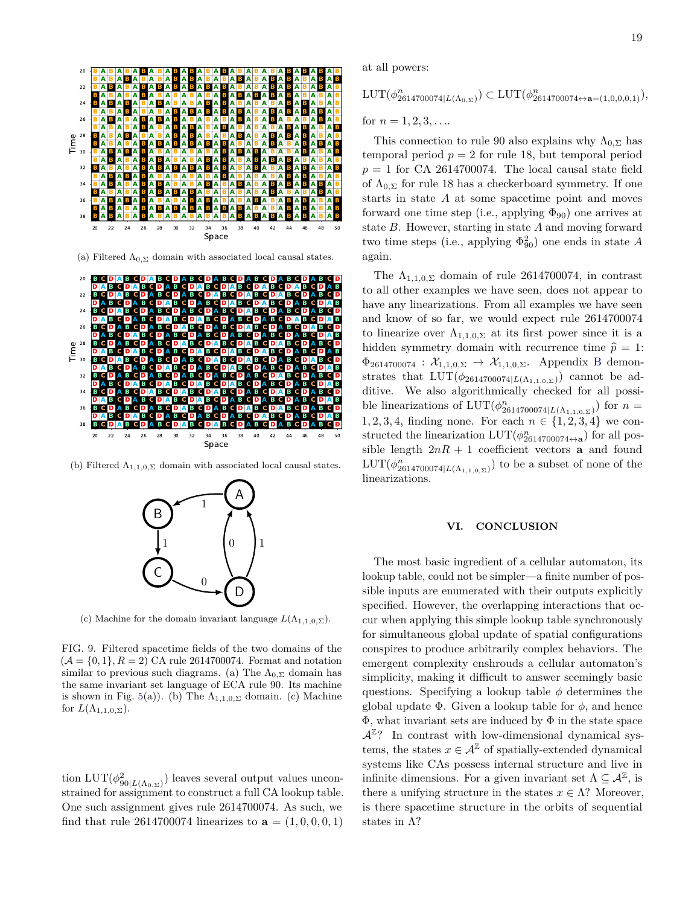

(a) Filtered  $\Lambda_{0,\Sigma}$  domain with associated local causal states.

> 20 22 24 26 28 30 32 34 36 38 40 42 44 46 48 50 Space

> **B A B A B A B A B A B A B A B A B A B A B A B A B A B A B A B** BABABABABABABABABABABABABABABABABABAB BABABABABABABABABABABABABABABABABAB



(b) Filtered  $\Lambda_{1,1,0,\Sigma}$  domain with associated local causal states.



(c) Machine for the domain invariant language  $L(\Lambda_{1,1,0,2})$ .

<span id="page-18-0"></span>FIG. 9. Filtered spacetime fields of the two domains of the  $(A = \{0, 1\}, R = 2)$  CA rule 2614700074. Format and notation similar to previous such diagrams. (a) The  $\Lambda_{0,\Sigma}$  domain has the same invariant set language of ECA rule 90. Its machine is shown in Fig. [5\(](#page-14-1)a)). (b) The  $\Lambda_{1,1,0,\Sigma}$  domain. (c) Machine for  $L(\Lambda_{1,1,0,\Sigma}).$ 

tion  $LUT(\phi_{90|L(\Lambda_{0,\Sigma})}^2)$  leaves several output values unconstrained for assignment to construct a full CA lookup table. One such assignment gives rule 2614700074. As such, we find that rule 2614700074 linearizes to  $a = (1, 0, 0, 0, 1)$  at all powers:

 $\text{LUT}(\phi_{2614700074|L(\Lambda_{0,\Sigma})}^n) \subset \text{LUT}(\phi_{2614700074\leftrightarrow \mathbf{a}=(1,0,0,0,1)}^n),$ 

for  $n = 1, 2, 3, \ldots$ 

This connection to rule 90 also explains why  $\Lambda_{0,\Sigma}$  has temporal period  $p = 2$  for rule 18, but temporal period  $p = 1$  for CA 2614700074. The local causal state field of  $\Lambda_{0,\Sigma}$  for rule 18 has a checkerboard symmetry. If one starts in state *A* at some spacetime point and moves forward one time step (i.e., applying  $\Phi_{90}$ ) one arrives at state *B*. However, starting in state *A* and moving forward two time steps (i.e., applying  $\Phi_{90}^2$ ) one ends in state *A* again.

The  $\Lambda_{1,1,0,\Sigma}$  domain of rule 2614700074, in contrast to all other examples we have seen, does not appear to have any linearizations. From all examples we have seen and know of so far, we would expect rule 2614700074 to linearize over  $\Lambda_{1,1,0,\Sigma}$  at its first power since it is a hidden symmetry domain with recurrence time  $\hat{p} = 1$ :  $\Phi_{2614700074} : \mathcal{X}_{1,1,0,\Sigma} \to \mathcal{X}_{1,1,0,\Sigma}$ . Appendix [B](#page-21-0) demonstrates that  $LUT(\phi_{2614700074|L(\Lambda_{1,1,0,\Sigma})})$  cannot be additive. We also algorithmically checked for all possible linearizations of  $LUT(\phi_{2614700074|L(\Lambda_{1,1,0,\Sigma})}^n)$  for  $n=$ 1, 2, 3, 4, finding none. For each  $n \in \{1, 2, 3, 4\}$  we constructed the linearization  $LUT(\phi_{2614700074\leftrightarrow a}^{n})$  for all possible length  $2nR + 1$  coefficient vectors **a** and found  $LUT(\phi_{2614700074|L(\Lambda_{1,1,0,\Sigma})}^n)$  to be a subset of none of the linearizations.

## **VI. CONCLUSION**

The most basic ingredient of a cellular automaton, its lookup table, could not be simpler—a finite number of possible inputs are enumerated with their outputs explicitly specified. However, the overlapping interactions that occur when applying this simple lookup table synchronously for simultaneous global update of spatial configurations conspires to produce arbitrarily complex behaviors. The emergent complexity enshrouds a cellular automaton's simplicity, making it difficult to answer seemingly basic questions. Specifying a lookup table  $\phi$  determines the global update Φ. Given a lookup table for *φ*, and hence  $\Phi$ , what invariant sets are induced by  $\Phi$  in the state space  $\mathcal{A}^{\mathbb{Z}}$ ? In contrast with low-dimensional dynamical systems, the states  $x \in \mathcal{A}^{\mathbb{Z}}$  of spatially-extended dynamical systems like CAs possess internal structure and live in infinite dimensions. For a given invariant set  $\Lambda \subseteq \mathcal{A}^{\mathbb{Z}}$ , is there a unifying structure in the states  $x \in \Lambda$ ? Moreover, is there spacetime structure in the orbits of sequential states in  $\Lambda$ ?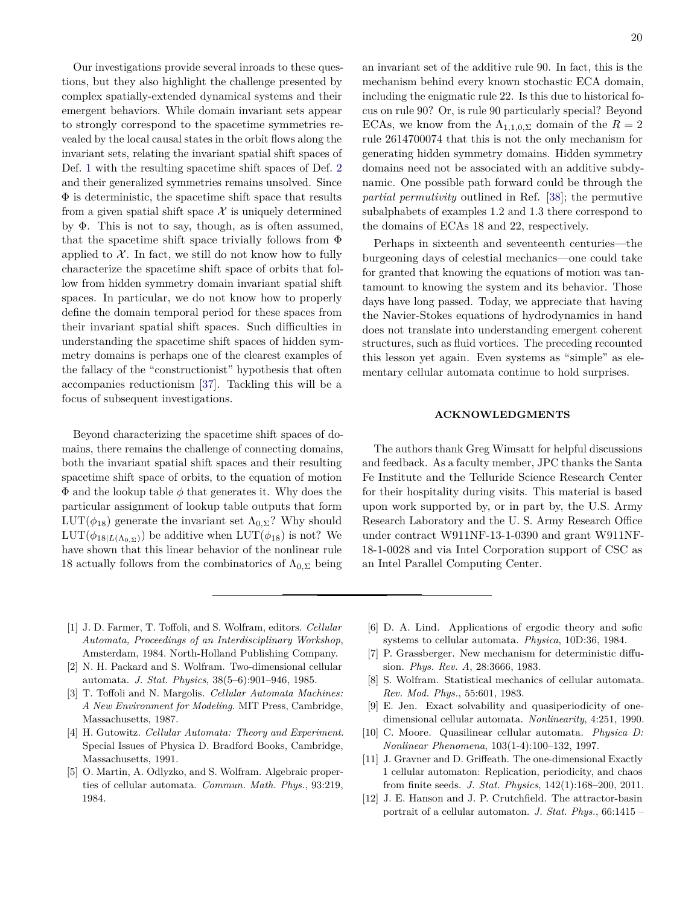Our investigations provide several inroads to these questions, but they also highlight the challenge presented by complex spatially-extended dynamical systems and their emergent behaviors. While domain invariant sets appear to strongly correspond to the spacetime symmetries revealed by the local causal states in the orbit flows along the invariant sets, relating the invariant spatial shift spaces of Def. [1](#page-5-1) with the resulting spacetime shift spaces of Def. [2](#page-6-1) and their generalized symmetries remains unsolved. Since  $\Phi$  is deterministic, the spacetime shift space that results from a given spatial shift space  $\mathcal X$  is uniquely determined by Φ. This is not to say, though, as is often assumed, that the spacetime shift space trivially follows from Φ applied to  $X$ . In fact, we still do not know how to fully characterize the spacetime shift space of orbits that follow from hidden symmetry domain invariant spatial shift spaces. In particular, we do not know how to properly define the domain temporal period for these spaces from their invariant spatial shift spaces. Such difficulties in understanding the spacetime shift spaces of hidden symmetry domains is perhaps one of the clearest examples of the fallacy of the "constructionist" hypothesis that often accompanies reductionism [\[37\]](#page-20-23). Tackling this will be a focus of subsequent investigations.

Beyond characterizing the spacetime shift spaces of domains, there remains the challenge of connecting domains, both the invariant spatial shift spaces and their resulting spacetime shift space of orbits, to the equation of motion  $\Phi$  and the lookup table  $\phi$  that generates it. Why does the particular assignment of lookup table outputs that form LUT( $\phi_{18}$ ) generate the invariant set  $\Lambda_{0,\Sigma}$ ? Why should  $LUT(\phi_{18|L(\Lambda_{0},\Sigma)})$  be additive when  $LUT(\phi_{18})$  is not? We have shown that this linear behavior of the nonlinear rule 18 actually follows from the combinatorics of  $\Lambda_{0,\Sigma}$  being

an invariant set of the additive rule 90. In fact, this is the mechanism behind every known stochastic ECA domain, including the enigmatic rule 22. Is this due to historical focus on rule 90? Or, is rule 90 particularly special? Beyond ECAs, we know from the  $\Lambda_{1,1,0,\Sigma}$  domain of the  $R=2$ rule 2614700074 that this is not the only mechanism for generating hidden symmetry domains. Hidden symmetry domains need not be associated with an additive subdynamic. One possible path forward could be through the *partial permutivity* outlined in Ref. [\[38\]](#page-20-24); the permutive subalphabets of examples 1*.*2 and 1*.*3 there correspond to the domains of ECAs 18 and 22, respectively.

Perhaps in sixteenth and seventeenth centuries—the burgeoning days of celestial mechanics—one could take for granted that knowing the equations of motion was tantamount to knowing the system and its behavior. Those days have long passed. Today, we appreciate that having the Navier-Stokes equations of hydrodynamics in hand does not translate into understanding emergent coherent structures, such as fluid vortices. The preceding recounted this lesson yet again. Even systems as "simple" as elementary cellular automata continue to hold surprises.

## **ACKNOWLEDGMENTS**

The authors thank Greg Wimsatt for helpful discussions and feedback. As a faculty member, JPC thanks the Santa Fe Institute and the Telluride Science Research Center for their hospitality during visits. This material is based upon work supported by, or in part by, the U.S. Army Research Laboratory and the U. S. Army Research Office under contract W911NF-13-1-0390 and grant W911NF-18-1-0028 and via Intel Corporation support of CSC as an Intel Parallel Computing Center.

- <span id="page-19-0"></span>[1] J. D. Farmer, T. Toffoli, and S. Wolfram, editors. *Cellular Automata, Proceedings of an Interdisciplinary Workshop*, Amsterdam, 1984. North-Holland Publishing Company.
- [2] N. H. Packard and S. Wolfram. Two-dimensional cellular automata. *J. Stat. Physics*, 38(5–6):901–946, 1985.
- [3] T. Toffoli and N. Margolis. *Cellular Automata Machines: A New Environment for Modeling*. MIT Press, Cambridge, Massachusetts, 1987.
- <span id="page-19-1"></span>[4] H. Gutowitz. *Cellular Automata: Theory and Experiment*. Special Issues of Physica D. Bradford Books, Cambridge, Massachusetts, 1991.
- <span id="page-19-2"></span>[5] O. Martin, A. Odlyzko, and S. Wolfram. Algebraic properties of cellular automata. *Commun. Math. Phys.*, 93:219, 1984.
- <span id="page-19-3"></span>[6] D. A. Lind. Applications of ergodic theory and sofic systems to cellular automata. *Physica*, 10D:36, 1984.
- <span id="page-19-4"></span>[7] P. Grassberger. New mechanism for deterministic diffusion. *Phys. Rev. A*, 28:3666, 1983.
- <span id="page-19-5"></span>[8] S. Wolfram. Statistical mechanics of cellular automata. *Rev. Mod. Phys.*, 55:601, 1983.
- <span id="page-19-6"></span>[9] E. Jen. Exact solvability and quasiperiodicity of onedimensional cellular automata. *Nonlinearity*, 4:251, 1990.
- <span id="page-19-7"></span>[10] C. Moore. Quasilinear cellular automata. *Physica D: Nonlinear Phenomena*, 103(1-4):100–132, 1997.
- <span id="page-19-8"></span>[11] J. Gravner and D. Griffeath. The one-dimensional Exactly 1 cellular automaton: Replication, periodicity, and chaos from finite seeds. *J. Stat. Physics*, 142(1):168–200, 2011.
- <span id="page-19-9"></span>[12] J. E. Hanson and J. P. Crutchfield. The attractor-basin portrait of a cellular automaton. *J. Stat. Phys.*, 66:1415 –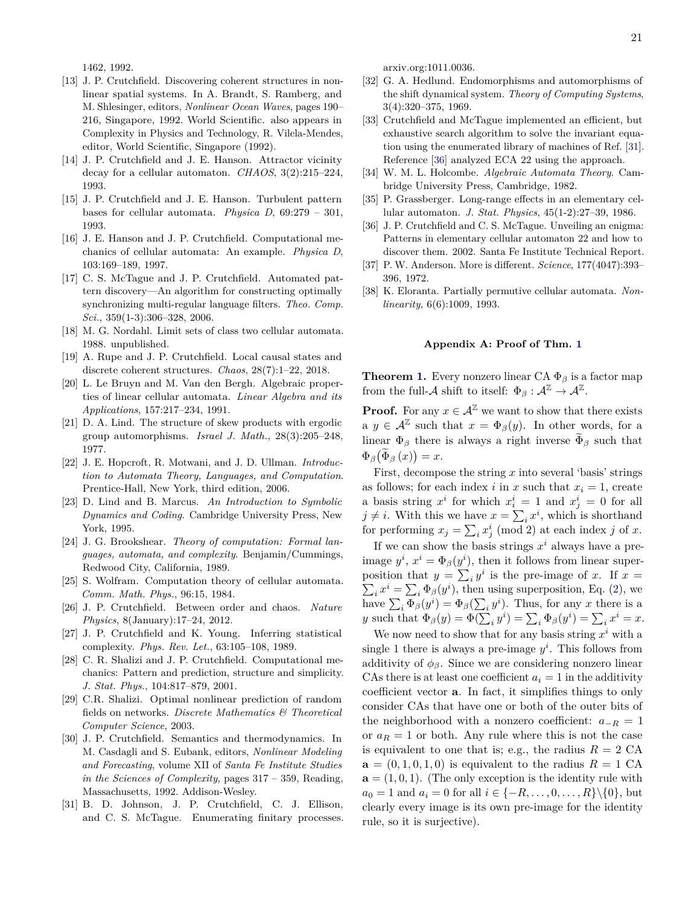1462, 1992.

- [13] J. P. Crutchfield. Discovering coherent structures in nonlinear spatial systems. In A. Brandt, S. Ramberg, and M. Shlesinger, editors, *Nonlinear Ocean Waves*, pages 190– 216, Singapore, 1992. World Scientific. also appears in Complexity in Physics and Technology, R. Vilela-Mendes, editor, World Scientific, Singapore (1992).
- [14] J. P. Crutchfield and J. E. Hanson. Attractor vicinity decay for a cellular automaton. *CHAOS*, 3(2):215–224, 1993.
- <span id="page-20-22"></span>[15] J. P. Crutchfield and J. E. Hanson. Turbulent pattern bases for cellular automata. *Physica D*, 69:279 – 301, 1993.
- <span id="page-20-0"></span>[16] J. E. Hanson and J. P. Crutchfield. Computational mechanics of cellular automata: An example. *Physica D*, 103:169–189, 1997.
- <span id="page-20-1"></span>[17] C. S. McTague and J. P. Crutchfield. Automated pattern discovery—An algorithm for constructing optimally synchronizing multi-regular language filters. *Theo. Comp. Sci.*, 359(1-3):306–328, 2006.
- <span id="page-20-2"></span>[18] M. G. Nordahl. Limit sets of class two cellular automata. 1988. unpublished.
- <span id="page-20-3"></span>[19] A. Rupe and J. P. Crutchfield. Local causal states and discrete coherent structures. *Chaos*, 28(7):1–22, 2018.
- <span id="page-20-4"></span>[20] L. Le Bruyn and M. Van den Bergh. Algebraic properties of linear cellular automata. *Linear Algebra and its Applications*, 157:217–234, 1991.
- <span id="page-20-5"></span>[21] D. A. Lind. The structure of skew products with ergodic group automorphisms. *Israel J. Math.*, 28(3):205–248, 1977.
- <span id="page-20-6"></span>[22] J. E. Hopcroft, R. Motwani, and J. D. Ullman. *Introduction to Automata Theory, Languages, and Computation*. Prentice-Hall, New York, third edition, 2006.
- <span id="page-20-7"></span>[23] D. Lind and B. Marcus. *An Introduction to Symbolic Dynamics and Coding*. Cambridge University Press, New York, 1995.
- <span id="page-20-8"></span>[24] J. G. Brookshear. *Theory of computation: Formal languages, automata, and complexity*. Benjamin/Cummings, Redwood City, California, 1989.
- <span id="page-20-9"></span>[25] S. Wolfram. Computation theory of cellular automata. *Comm. Math. Phys.*, 96:15, 1984.
- <span id="page-20-10"></span>[26] J. P. Crutchfield. Between order and chaos. *Nature Physics*, 8(January):17–24, 2012.
- <span id="page-20-11"></span>[27] J. P. Crutchfield and K. Young. Inferring statistical complexity. *Phys. Rev. Let.*, 63:105–108, 1989.
- <span id="page-20-12"></span>[28] C. R. Shalizi and J. P. Crutchfield. Computational mechanics: Pattern and prediction, structure and simplicity. *J. Stat. Phys.*, 104:817–879, 2001.
- <span id="page-20-13"></span>[29] C.R. Shalizi. Optimal nonlinear prediction of random fields on networks. *Discrete Mathematics & Theoretical Computer Science*, 2003.
- <span id="page-20-14"></span>[30] J. P. Crutchfield. Semantics and thermodynamics. In M. Casdagli and S. Eubank, editors, *Nonlinear Modeling and Forecasting*, volume XII of *Santa Fe Institute Studies in the Sciences of Complexity*, pages 317 – 359, Reading, Massachusetts, 1992. Addison-Wesley.
- <span id="page-20-15"></span>[31] B. D. Johnson, J. P. Crutchfield, C. J. Ellison, and C. S. McTague. Enumerating finitary processes.

arxiv.org:1011.0036.

- <span id="page-20-16"></span>[32] G. A. Hedlund. Endomorphisms and automorphisms of the shift dynamical system. *Theory of Computing Systems*, 3(4):320–375, 1969.
- <span id="page-20-17"></span>[33] Crutchfield and McTague implemented an efficient, but exhaustive search algorithm to solve the invariant equation using the enumerated library of machines of Ref. [\[31\]](#page-20-15). Reference [\[36\]](#page-20-21) analyzed ECA 22 using the approach.
- <span id="page-20-18"></span>[34] W. M. L. Holcombe. *Algebraic Automata Theory*. Cambridge University Press, Cambridge, 1982.
- <span id="page-20-20"></span>[35] P. Grassberger. Long-range effects in an elementary cellular automaton. *J. Stat. Physics*, 45(1-2):27–39, 1986.
- <span id="page-20-21"></span>[36] J. P. Crutchfield and C. S. McTague. Unveiling an enigma: Patterns in elementary cellular automaton 22 and how to discover them. 2002. Santa Fe Institute Technical Report.
- <span id="page-20-23"></span>[37] P. W. Anderson. More is different. *Science*, 177(4047):393– 396, 1972.
- <span id="page-20-24"></span>[38] K. Eloranta. Partially permutive cellular automata. *Nonlinearity*, 6(6):1009, 1993.

### <span id="page-20-19"></span>**Appendix A: Proof of Thm. [1](#page-9-1)**

**Theorem [1.](#page-9-1)** Every nonzero linear CA  $\Phi_\beta$  is a factor map from the full- $\mathcal A$  shift to itself:  $\Phi_{\beta}: \mathcal A^{\mathbb Z} \to \mathcal A^{\mathbb Z}$ .

**Proof.** For any  $x \in \mathcal{A}^{\mathbb{Z}}$  we want to show that there exists  $a \, y \in \mathcal{A}^{\mathbb{Z}}$  such that  $x = \Phi_{\beta}(y)$ . In other words, for a linear  $\Phi_\beta$  there is always a right inverse  $\widetilde{\Phi}_\beta$  such that  $\Phi_{\beta}(\Phi_{\beta}(x))=x.$ 

First, decompose the string *x* into several 'basis' strings as follows; for each index *i* in *x* such that  $x_i = 1$ , create a basis string  $x^i$  for which  $x^i_i = 1$  and  $x^i_j = 0$  for all  $j \neq i$ . With this we have  $x = \sum_i x^i$ , which is shorthand for performing  $x_j = \sum_i x_j^i \pmod{2}$  at each index *j* of *x*.

If we can show the basis strings  $x^i$  always have a preimage  $y^i$ ,  $x^i = \Phi_\beta(y^i)$ , then it follows from linear superposition that  $y = \sum_i y^i$  is the pre-image of *x*. If  $x =$  $\sum_i x^i = \sum_i \Phi_\beta(y^i)$ , then using superposition, Eq. [\(2\)](#page-2-3), we have  $\sum_i \Phi_\beta(y^i) = \Phi_\beta(\sum_i y^i)$ . Thus, for any *x* there is a *y* such that  $\Phi_{\beta}(y) = \Phi(\sum_{i} y^{i}) = \sum_{i} \Phi_{\beta}(y^{i}) = \sum_{i} x^{i} = x$ .

We now need to show that for any basis string  $x^i$  with a single 1 there is always a pre-image  $y^i$ . This follows from additivity of  $\phi_{\beta}$ . Since we are considering nonzero linear CAs there is at least one coefficient  $a_i = 1$  in the additivity coefficient vector **a**. In fact, it simplifies things to only consider CAs that have one or both of the outer bits of the neighborhood with a nonzero coefficient:  $a_{-R} = 1$ or  $a_R = 1$  or both. Any rule where this is not the case is equivalent to one that is; e.g., the radius  $R = 2$  CA  $\mathbf{a} = (0, 1, 0, 1, 0)$  is equivalent to the radius  $R = 1$  CA  $\mathbf{a} = (1, 0, 1)$ . (The only exception is the identity rule with  $a_0 = 1$  and  $a_i = 0$  for all  $i \in \{-R, \ldots, 0, \ldots, R\} \setminus \{0\}$ , but clearly every image is its own pre-image for the identity rule, so it is surjective).